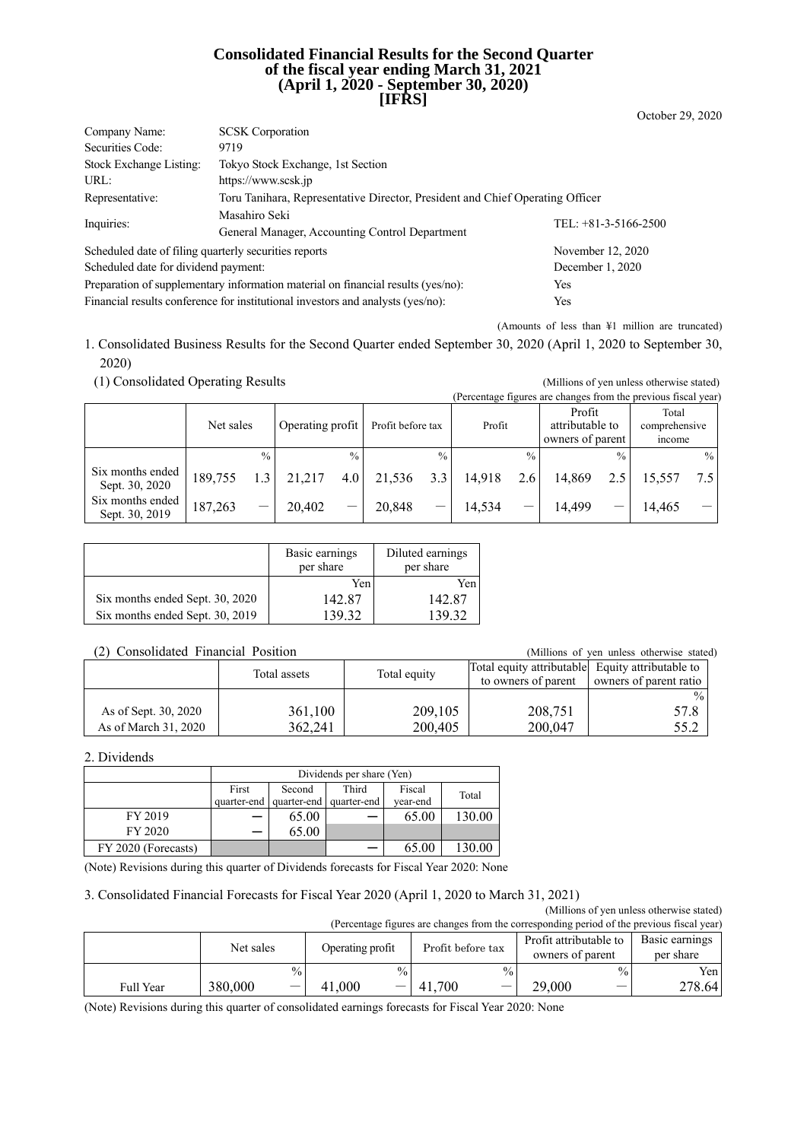#### **Consolidated Financial Results for the Second Quarter of the fiscal year ending March 31, 2021 (April 1, 2020 - September 30, 2020) [IFRS]**

| Company Name:                                         | <b>SCSK</b> Corporation                                                          |                        |  |  |  |
|-------------------------------------------------------|----------------------------------------------------------------------------------|------------------------|--|--|--|
| Securities Code:                                      | 9719                                                                             |                        |  |  |  |
| Stock Exchange Listing:                               | Tokyo Stock Exchange, 1st Section                                                |                        |  |  |  |
| URL:                                                  | https://www.scsk.jp                                                              |                        |  |  |  |
| Representative:                                       | Toru Tanihara, Representative Director, President and Chief Operating Officer    |                        |  |  |  |
| Inquiries:                                            | Masahiro Seki                                                                    | TEL: $+81-3-5166-2500$ |  |  |  |
|                                                       | General Manager, Accounting Control Department                                   |                        |  |  |  |
| Scheduled date of filing quarterly securities reports |                                                                                  | November 12, 2020      |  |  |  |
| Scheduled date for dividend payment:                  |                                                                                  | December 1, 2020       |  |  |  |
|                                                       | Preparation of supplementary information material on financial results (yes/no): | Yes                    |  |  |  |
|                                                       | Financial results conference for institutional investors and analysts (yes/no):  | Yes                    |  |  |  |

(Amounts of less than ¥1 million are truncated)

October 29, 2020

1. Consolidated Business Results for the Second Quarter ended September 30, 2020 (April 1, 2020 to September 30, 2020)

| (1) Consolidated Operating Results |           |               |                  |               |                   |               |        |               |                                                                |               | (Millions of yen unless otherwise stated) |               |
|------------------------------------|-----------|---------------|------------------|---------------|-------------------|---------------|--------|---------------|----------------------------------------------------------------|---------------|-------------------------------------------|---------------|
|                                    |           |               |                  |               |                   |               |        |               | (Percentage figures are changes from the previous fiscal year) |               |                                           |               |
|                                    | Net sales |               | Operating profit |               | Profit before tax |               | Profit |               | Profit<br>attributable to<br>owners of parent                  |               | Total<br>comprehensive<br>income          |               |
|                                    |           | $\frac{0}{0}$ |                  | $\frac{0}{0}$ |                   | $\frac{0}{0}$ |        | $\frac{0}{0}$ |                                                                | $\frac{0}{0}$ |                                           | $\frac{0}{0}$ |
| Six months ended<br>Sept. 30, 2020 | 189,755   |               | 21,217           | 4.0           | 21,536            | 3.3           | 14.918 | 2.6           | 14.869                                                         | 2.5           | 15.557                                    | 7.5           |
| Six months ended<br>Sept. 30, 2019 | 187,263   |               | 20,402           |               | 20,848            |               | 14,534 | —             | 14,499                                                         |               | 14,465                                    |               |

|                                 | Basic earnings<br>per share | Diluted earnings<br>per share |
|---------------------------------|-----------------------------|-------------------------------|
|                                 | Yen                         | Yen                           |
| Six months ended Sept. 30, 2020 | 142.87                      | 142.87                        |
| Six months ended Sept. 30, 2019 | 139.32                      | 139.32                        |

#### (2) Consolidated Financial Position (Millions of yen unless otherwise stated)

|                      | Total assets | Total equity | Total equity attributable Equity attributable to |                        |
|----------------------|--------------|--------------|--------------------------------------------------|------------------------|
|                      |              |              | to owners of parent                              | owners of parent ratio |
|                      |              |              |                                                  | $\%$                   |
| As of Sept. 30, 2020 | 361,100      | 209,105      | 208,751                                          | 57.8                   |
| As of March 31, 2020 | 362,241      | 200,405      | 200,047                                          | 55.2                   |

#### 2. Dividends

|                     | Dividends per share (Yen) |             |             |          |        |  |  |
|---------------------|---------------------------|-------------|-------------|----------|--------|--|--|
|                     | First                     | Second      | Third       | Fiscal   | Total  |  |  |
|                     | quarter-end               | quarter-end | quarter-end | vear-end |        |  |  |
| FY 2019             |                           | 65.00       |             | 65.00    | 130.00 |  |  |
| FY 2020             |                           | 65.00       |             |          |        |  |  |
| FY 2020 (Forecasts) |                           |             |             | 65.00    | 130.00 |  |  |

(Note) Revisions during this quarter of Dividends forecasts for Fiscal Year 2020: None

#### 3. Consolidated Financial Forecasts for Fiscal Year 2020 (April 1, 2020 to March 31, 2021)

(Millions of yen unless otherwise stated) (Percentage figures are changes from the corresponding period of the previous fiscal year)

| (Percentage rigures are changes from the corresponding period of the previous riscal year) |           |                          |                  |               |                   |               |                        |                 |                |
|--------------------------------------------------------------------------------------------|-----------|--------------------------|------------------|---------------|-------------------|---------------|------------------------|-----------------|----------------|
|                                                                                            | Net sales |                          | Operating profit |               | Profit before tax |               | Profit attributable to |                 | Basic earnings |
|                                                                                            |           |                          |                  |               |                   |               | owners of parent       |                 | per share      |
|                                                                                            |           | $\frac{0}{0}$            |                  | $\frac{0}{0}$ |                   | $\frac{0}{0}$ |                        | $\frac{0}{0}$ . | Yen            |
| <b>Full Year</b>                                                                           | 380,000   | $\overline{\phantom{0}}$ | l.000            |               | .700<br>41.       |               | 29,000                 |                 | 278.64         |

(Note) Revisions during this quarter of consolidated earnings forecasts for Fiscal Year 2020: None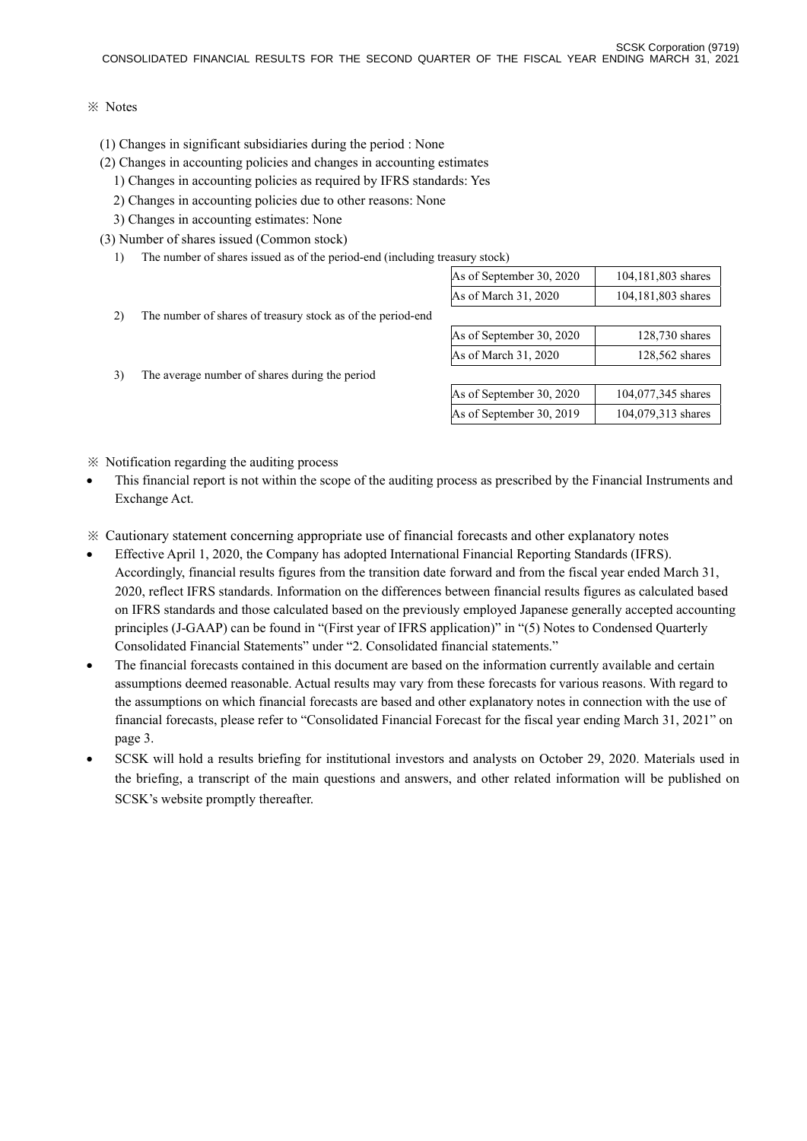#### ※ Notes

- (1) Changes in significant subsidiaries during the period : None
- (2) Changes in accounting policies and changes in accounting estimates
- 1) Changes in accounting policies as required by IFRS standards: Yes
- 2) Changes in accounting policies due to other reasons: None
- 3) Changes in accounting estimates: None
- (3) Number of shares issued (Common stock)
	- 1) The number of shares issued as of the period-end (including treasury stock)

|    |                                                             | As of September 30, 2020 | 104,181,803 shares |
|----|-------------------------------------------------------------|--------------------------|--------------------|
|    |                                                             | As of March 31, 2020     | 104,181,803 shares |
| 2) | The number of shares of treasury stock as of the period-end |                          |                    |
|    |                                                             | As of September 30, 2020 | 128,730 shares     |
|    |                                                             | As of March 31, 2020     | 128,562 shares     |
| 3) | The average number of shares during the period              |                          |                    |
|    |                                                             | As of September 30, 2020 | 104,077,345 shares |
|    |                                                             | As of September 30, 2019 | 104,079,313 shares |
|    |                                                             |                          |                    |

※ Notification regarding the auditing process

- This financial report is not within the scope of the auditing process as prescribed by the Financial Instruments and Exchange Act.
- ※ Cautionary statement concerning appropriate use of financial forecasts and other explanatory notes
- Effective April 1, 2020, the Company has adopted International Financial Reporting Standards (IFRS). Accordingly, financial results figures from the transition date forward and from the fiscal year ended March 31, 2020, reflect IFRS standards. Information on the differences between financial results figures as calculated based on IFRS standards and those calculated based on the previously employed Japanese generally accepted accounting principles (J-GAAP) can be found in "(First year of IFRS application)" in "(5) Notes to Condensed Quarterly Consolidated Financial Statements" under "2. Consolidated financial statements."
- The financial forecasts contained in this document are based on the information currently available and certain assumptions deemed reasonable. Actual results may vary from these forecasts for various reasons. With regard to the assumptions on which financial forecasts are based and other explanatory notes in connection with the use of financial forecasts, please refer to "Consolidated Financial Forecast for the fiscal year ending March 31, 2021" on page 3.
- SCSK will hold a results briefing for institutional investors and analysts on October 29, 2020. Materials used in the briefing, a transcript of the main questions and answers, and other related information will be published on SCSK's website promptly thereafter.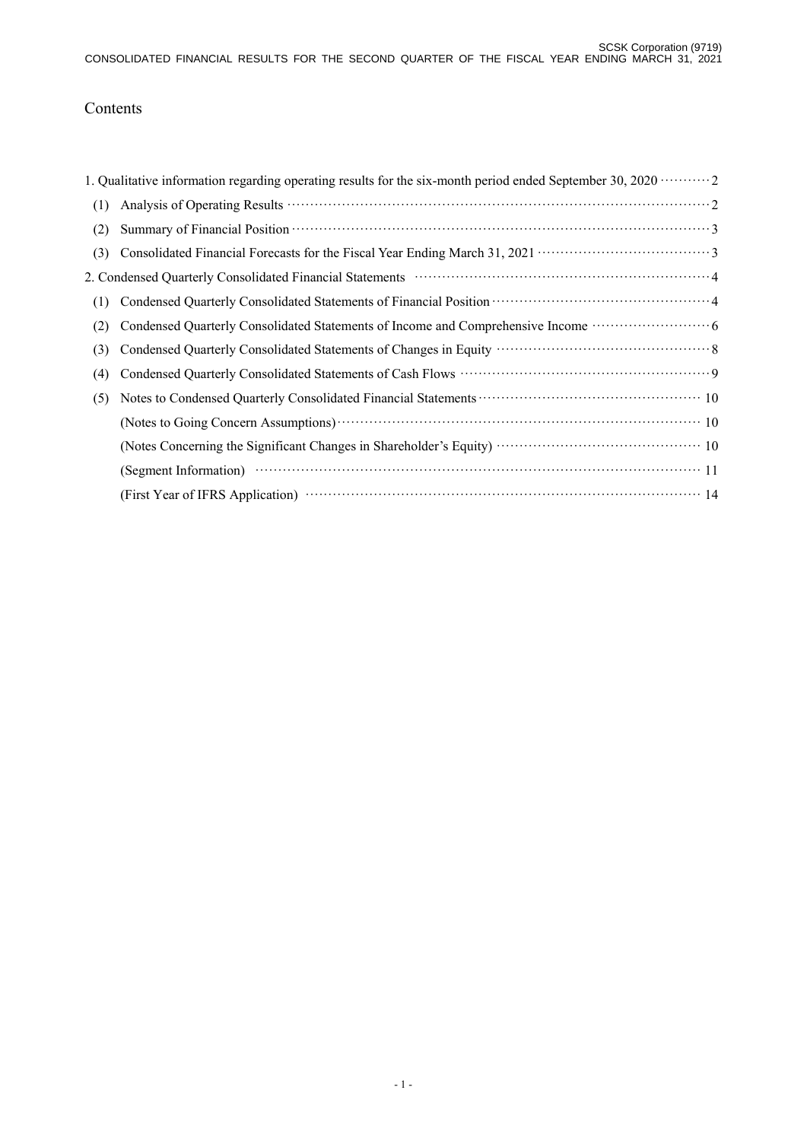# Contents

|     | 1. Qualitative information regarding operating results for the six-month period ended September 30, 2020 $\cdots$ |
|-----|-------------------------------------------------------------------------------------------------------------------|
| (1) |                                                                                                                   |
| (2) |                                                                                                                   |
| (3) |                                                                                                                   |
|     |                                                                                                                   |
| (1) |                                                                                                                   |
| (2) | Condensed Quarterly Consolidated Statements of Income and Comprehensive Income ······························ 6   |
| (3) |                                                                                                                   |
| (4) |                                                                                                                   |
| (5) |                                                                                                                   |
|     | (Notes to Going Concern Assumptions) (2008) (2008) (2008) (2008) (2008) (2008) (2008) (2008) (2008) (2008) (20    |
|     |                                                                                                                   |
|     |                                                                                                                   |
|     |                                                                                                                   |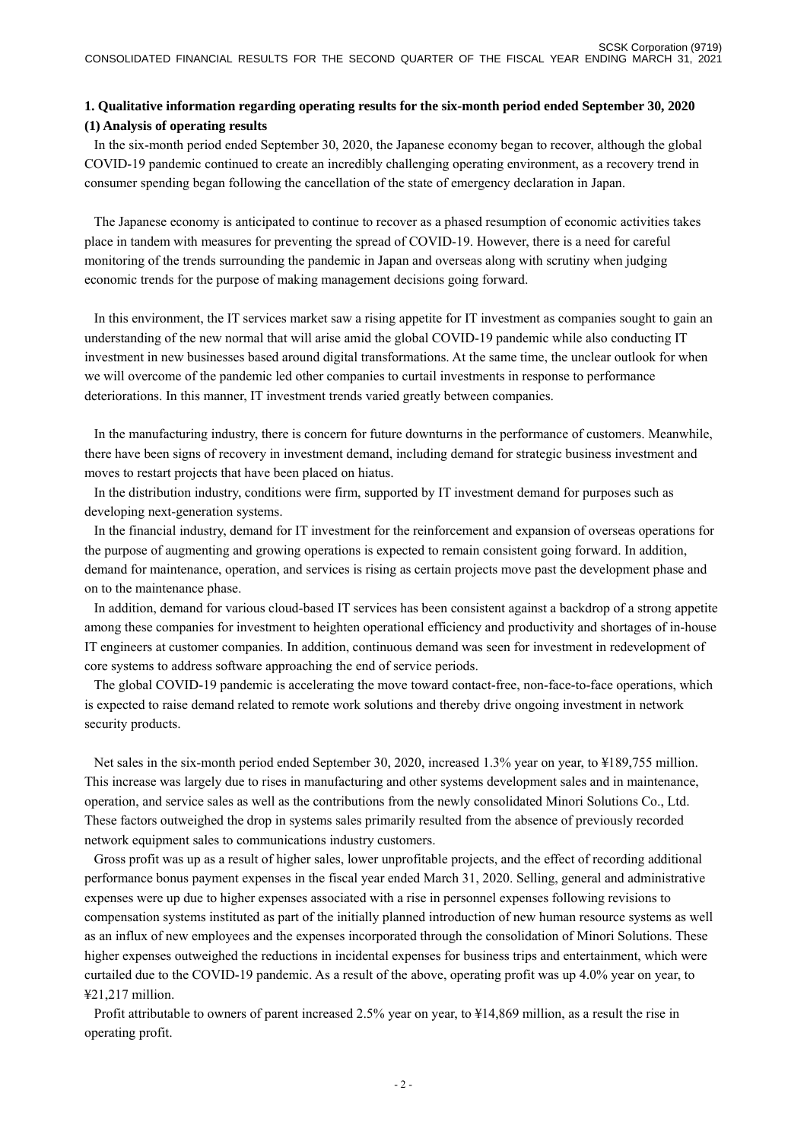### **1. Qualitative information regarding operating results for the six-month period ended September 30, 2020 (1) Analysis of operating results**

In the six-month period ended September 30, 2020, the Japanese economy began to recover, although the global COVID-19 pandemic continued to create an incredibly challenging operating environment, as a recovery trend in consumer spending began following the cancellation of the state of emergency declaration in Japan.

The Japanese economy is anticipated to continue to recover as a phased resumption of economic activities takes place in tandem with measures for preventing the spread of COVID-19. However, there is a need for careful monitoring of the trends surrounding the pandemic in Japan and overseas along with scrutiny when judging economic trends for the purpose of making management decisions going forward.

In this environment, the IT services market saw a rising appetite for IT investment as companies sought to gain an understanding of the new normal that will arise amid the global COVID-19 pandemic while also conducting IT investment in new businesses based around digital transformations. At the same time, the unclear outlook for when we will overcome of the pandemic led other companies to curtail investments in response to performance deteriorations. In this manner, IT investment trends varied greatly between companies.

In the manufacturing industry, there is concern for future downturns in the performance of customers. Meanwhile, there have been signs of recovery in investment demand, including demand for strategic business investment and moves to restart projects that have been placed on hiatus.

In the distribution industry, conditions were firm, supported by IT investment demand for purposes such as developing next-generation systems.

In the financial industry, demand for IT investment for the reinforcement and expansion of overseas operations for the purpose of augmenting and growing operations is expected to remain consistent going forward. In addition, demand for maintenance, operation, and services is rising as certain projects move past the development phase and on to the maintenance phase.

In addition, demand for various cloud-based IT services has been consistent against a backdrop of a strong appetite among these companies for investment to heighten operational efficiency and productivity and shortages of in-house IT engineers at customer companies. In addition, continuous demand was seen for investment in redevelopment of core systems to address software approaching the end of service periods.

The global COVID-19 pandemic is accelerating the move toward contact-free, non-face-to-face operations, which is expected to raise demand related to remote work solutions and thereby drive ongoing investment in network security products.

Net sales in the six-month period ended September 30, 2020, increased 1.3% year on year, to ¥189,755 million. This increase was largely due to rises in manufacturing and other systems development sales and in maintenance, operation, and service sales as well as the contributions from the newly consolidated Minori Solutions Co., Ltd. These factors outweighed the drop in systems sales primarily resulted from the absence of previously recorded network equipment sales to communications industry customers.

Gross profit was up as a result of higher sales, lower unprofitable projects, and the effect of recording additional performance bonus payment expenses in the fiscal year ended March 31, 2020. Selling, general and administrative expenses were up due to higher expenses associated with a rise in personnel expenses following revisions to compensation systems instituted as part of the initially planned introduction of new human resource systems as well as an influx of new employees and the expenses incorporated through the consolidation of Minori Solutions. These higher expenses outweighed the reductions in incidental expenses for business trips and entertainment, which were curtailed due to the COVID-19 pandemic. As a result of the above, operating profit was up 4.0% year on year, to ¥21,217 million.

Profit attributable to owners of parent increased 2.5% year on year, to ¥14,869 million, as a result the rise in operating profit.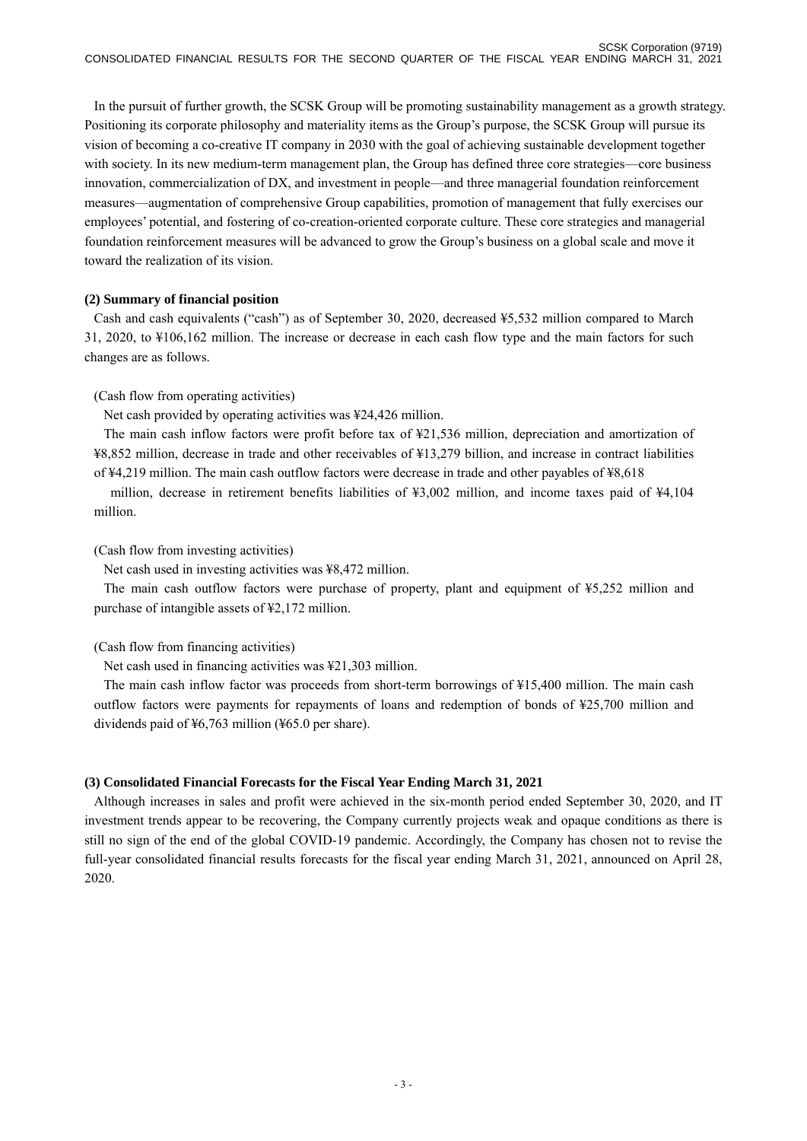In the pursuit of further growth, the SCSK Group will be promoting sustainability management as a growth strategy. Positioning its corporate philosophy and materiality items as the Group's purpose, the SCSK Group will pursue its vision of becoming a co-creative IT company in 2030 with the goal of achieving sustainable development together with society. In its new medium-term management plan, the Group has defined three core strategies—core business innovation, commercialization of DX, and investment in people—and three managerial foundation reinforcement measures—augmentation of comprehensive Group capabilities, promotion of management that fully exercises our employees' potential, and fostering of co-creation-oriented corporate culture. These core strategies and managerial foundation reinforcement measures will be advanced to grow the Group's business on a global scale and move it toward the realization of its vision.

#### **(2) Summary of financial position**

Cash and cash equivalents ("cash") as of September 30, 2020, decreased ¥5,532 million compared to March 31, 2020, to ¥106,162 million. The increase or decrease in each cash flow type and the main factors for such changes are as follows.

### (Cash flow from operating activities)

Net cash provided by operating activities was ¥24,426 million.

The main cash inflow factors were profit before tax of ¥21,536 million, depreciation and amortization of ¥8,852 million, decrease in trade and other receivables of ¥13,279 billion, and increase in contract liabilities of ¥4,219 million. The main cash outflow factors were decrease in trade and other payables of ¥8,618

 million, decrease in retirement benefits liabilities of ¥3,002 million, and income taxes paid of ¥4,104 million.

### (Cash flow from investing activities)

Net cash used in investing activities was ¥8,472 million.

The main cash outflow factors were purchase of property, plant and equipment of ¥5,252 million and purchase of intangible assets of ¥2,172 million.

(Cash flow from financing activities)

Net cash used in financing activities was ¥21,303 million.

The main cash inflow factor was proceeds from short-term borrowings of ¥15,400 million. The main cash outflow factors were payments for repayments of loans and redemption of bonds of ¥25,700 million and dividends paid of ¥6,763 million (¥65.0 per share).

### **(3) Consolidated Financial Forecasts for the Fiscal Year Ending March 31, 2021**

Although increases in sales and profit were achieved in the six-month period ended September 30, 2020, and IT investment trends appear to be recovering, the Company currently projects weak and opaque conditions as there is still no sign of the end of the global COVID-19 pandemic. Accordingly, the Company has chosen not to revise the full-year consolidated financial results forecasts for the fiscal year ending March 31, 2021, announced on April 28, 2020.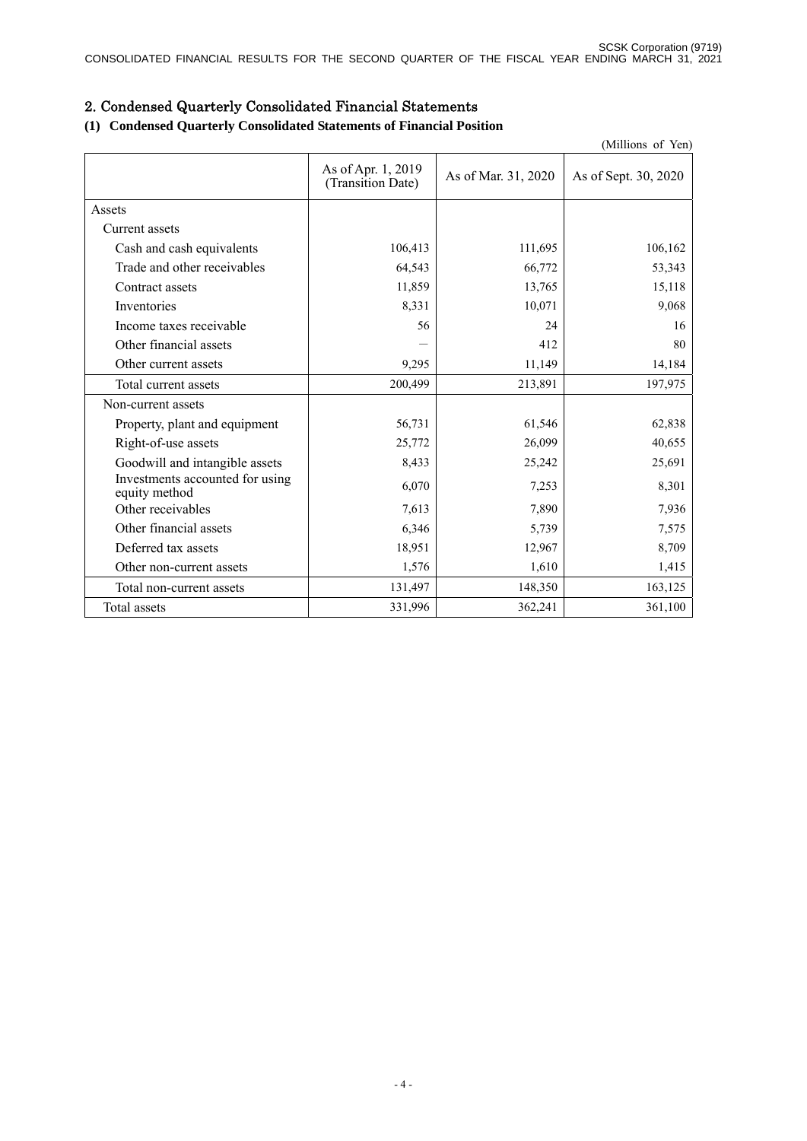# 2. Condensed Quarterly Consolidated Financial Statements

### **(1) Condensed Quarterly Consolidated Statements of Financial Position**

|                                                  |                                         |                     | (Millions of Yen)    |
|--------------------------------------------------|-----------------------------------------|---------------------|----------------------|
|                                                  | As of Apr. 1, 2019<br>(Transition Date) | As of Mar. 31, 2020 | As of Sept. 30, 2020 |
| Assets                                           |                                         |                     |                      |
| Current assets                                   |                                         |                     |                      |
| Cash and cash equivalents                        | 106,413                                 | 111,695             | 106,162              |
| Trade and other receivables                      | 64,543                                  | 66,772              | 53,343               |
| Contract assets                                  | 11,859                                  | 13,765              | 15,118               |
| Inventories                                      | 8,331                                   | 10,071              | 9,068                |
| Income taxes receivable                          | 56                                      | 24                  | 16                   |
| Other financial assets                           |                                         | 412                 | 80                   |
| Other current assets                             | 9,295                                   | 11,149              | 14,184               |
| Total current assets                             | 200,499                                 | 213,891             | 197,975              |
| Non-current assets                               |                                         |                     |                      |
| Property, plant and equipment                    | 56,731                                  | 61,546              | 62,838               |
| Right-of-use assets                              | 25,772                                  | 26,099              | 40,655               |
| Goodwill and intangible assets                   | 8,433                                   | 25,242              | 25,691               |
| Investments accounted for using<br>equity method | 6,070                                   | 7,253               | 8,301                |
| Other receivables                                | 7,613                                   | 7,890               | 7,936                |
| Other financial assets                           | 6,346                                   | 5,739               | 7,575                |
| Deferred tax assets                              | 18,951                                  | 12,967              | 8,709                |
| Other non-current assets                         | 1,576                                   | 1,610               | 1,415                |
| Total non-current assets                         | 131,497                                 | 148,350             | 163,125              |
| Total assets                                     | 331,996                                 | 362,241             | 361,100              |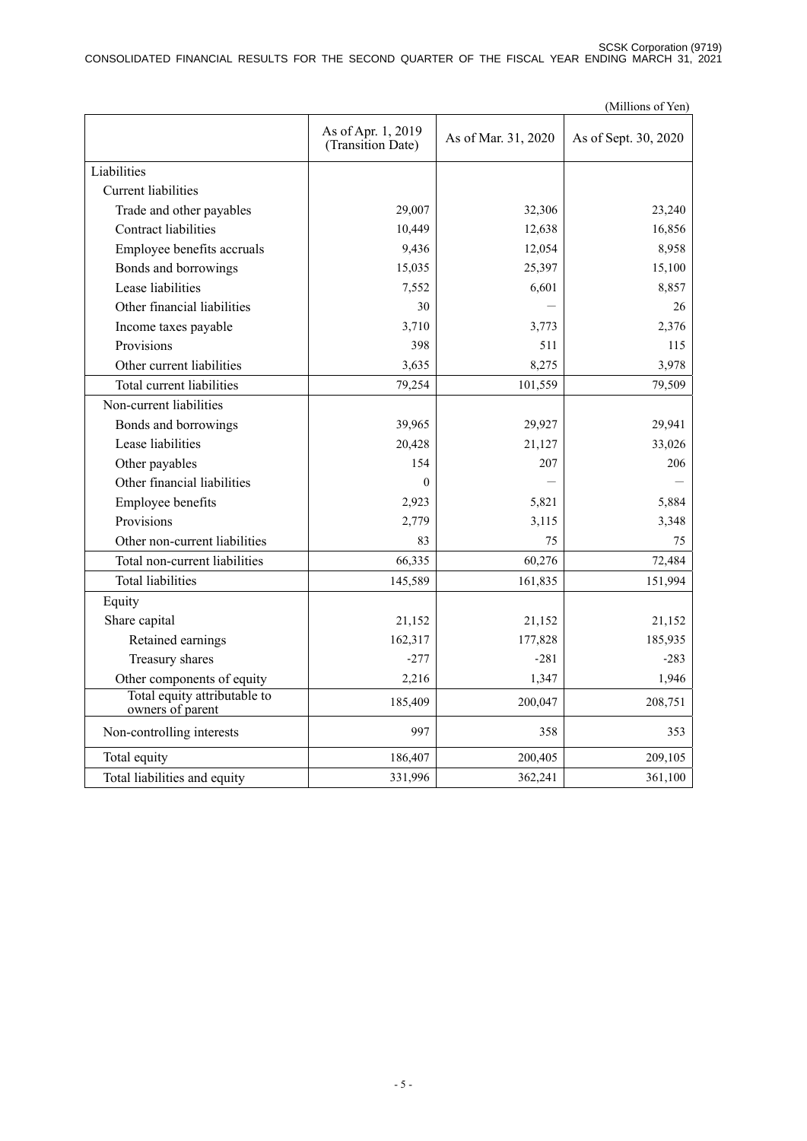SCSK Corporation (9719) CONSOLIDATED FINANCIAL RESULTS FOR THE SECOND QUARTER OF THE FISCAL YEAR ENDING MARCH 31, 2021

|                                                  |                                         |                     | (Millions of Yen)    |
|--------------------------------------------------|-----------------------------------------|---------------------|----------------------|
|                                                  | As of Apr. 1, 2019<br>(Transition Date) | As of Mar. 31, 2020 | As of Sept. 30, 2020 |
| Liabilities                                      |                                         |                     |                      |
| <b>Current liabilities</b>                       |                                         |                     |                      |
| Trade and other payables                         | 29,007                                  | 32,306              | 23,240               |
| <b>Contract liabilities</b>                      | 10,449                                  | 12,638              | 16,856               |
| Employee benefits accruals                       | 9,436                                   | 12,054              | 8,958                |
| Bonds and borrowings                             | 15,035                                  | 25,397              | 15,100               |
| Lease liabilities                                | 7,552                                   | 6,601               | 8,857                |
| Other financial liabilities                      | 30                                      |                     | 26                   |
| Income taxes payable                             | 3,710                                   | 3,773               | 2,376                |
| Provisions                                       | 398                                     | 511                 | 115                  |
| Other current liabilities                        | 3,635                                   | 8,275               | 3,978                |
| Total current liabilities                        | 79,254                                  | 101,559             | 79,509               |
| Non-current liabilities                          |                                         |                     |                      |
| Bonds and borrowings                             | 39,965                                  | 29,927              | 29,941               |
| Lease liabilities                                | 20,428                                  | 21,127              | 33,026               |
| Other payables                                   | 154                                     | 207                 | 206                  |
| Other financial liabilities                      | $\Omega$                                |                     |                      |
| Employee benefits                                | 2,923                                   | 5,821               | 5,884                |
| Provisions                                       | 2,779                                   | 3,115               | 3,348                |
| Other non-current liabilities                    | 83                                      | 75                  | 75                   |
| Total non-current liabilities                    | 66,335                                  | 60,276              | 72,484               |
| <b>Total liabilities</b>                         | 145,589                                 | 161,835             | 151,994              |
| Equity                                           |                                         |                     |                      |
| Share capital                                    | 21,152                                  | 21,152              | 21,152               |
| Retained earnings                                | 162,317                                 | 177,828             | 185,935              |
| Treasury shares                                  | $-277$                                  | $-281$              | $-283$               |
| Other components of equity                       | 2,216                                   | 1,347               | 1,946                |
| Total equity attributable to<br>owners of parent | 185,409                                 | 200,047             | 208,751              |
| Non-controlling interests                        | 997                                     | 358                 | 353                  |
| Total equity                                     | 186,407                                 | 200,405             | 209,105              |
| Total liabilities and equity                     | 331,996                                 | 362,241             | 361,100              |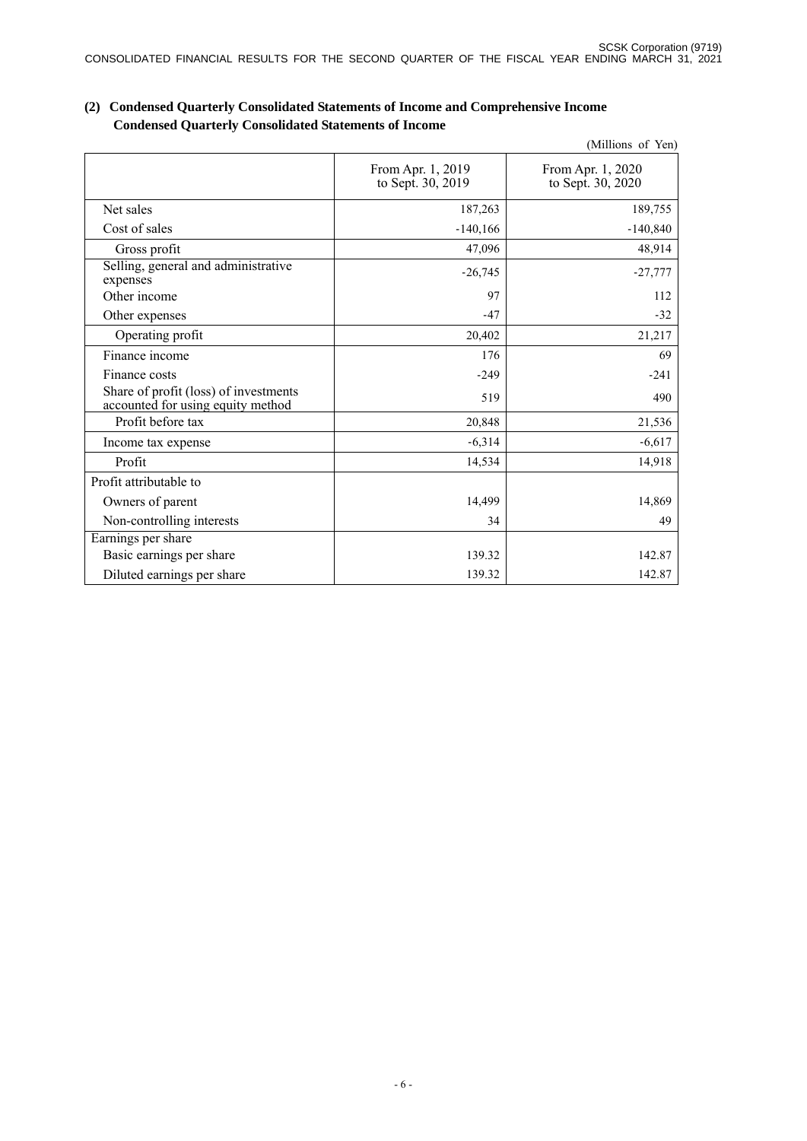|                                                                            |                                        | (Millions of Yen)                      |
|----------------------------------------------------------------------------|----------------------------------------|----------------------------------------|
|                                                                            | From Apr. 1, 2019<br>to Sept. 30, 2019 | From Apr. 1, 2020<br>to Sept. 30, 2020 |
| Net sales                                                                  | 187,263                                | 189,755                                |
| Cost of sales                                                              | $-140,166$                             | $-140,840$                             |
| Gross profit                                                               | 47,096                                 | 48,914                                 |
| Selling, general and administrative<br>expenses                            | $-26,745$                              | $-27,777$                              |
| Other income                                                               | 97                                     | 112                                    |
| Other expenses                                                             | $-47$                                  | $-32$                                  |
| Operating profit                                                           | 20,402                                 | 21,217                                 |
| Finance income                                                             | 176                                    | 69                                     |
| Finance costs                                                              | $-249$                                 | $-241$                                 |
| Share of profit (loss) of investments<br>accounted for using equity method | 519                                    | 490                                    |
| Profit before tax                                                          | 20,848                                 | 21,536                                 |
| Income tax expense                                                         | $-6,314$                               | $-6,617$                               |
| Profit                                                                     | 14,534                                 | 14,918                                 |
| Profit attributable to                                                     |                                        |                                        |
| Owners of parent                                                           | 14,499                                 | 14,869                                 |
| Non-controlling interests                                                  | 34                                     | 49                                     |
| Earnings per share                                                         |                                        |                                        |
| Basic earnings per share                                                   | 139.32                                 | 142.87                                 |
| Diluted earnings per share                                                 | 139.32                                 | 142.87                                 |

### **(2) Condensed Quarterly Consolidated Statements of Income and Comprehensive Income Condensed Quarterly Consolidated Statements of Income**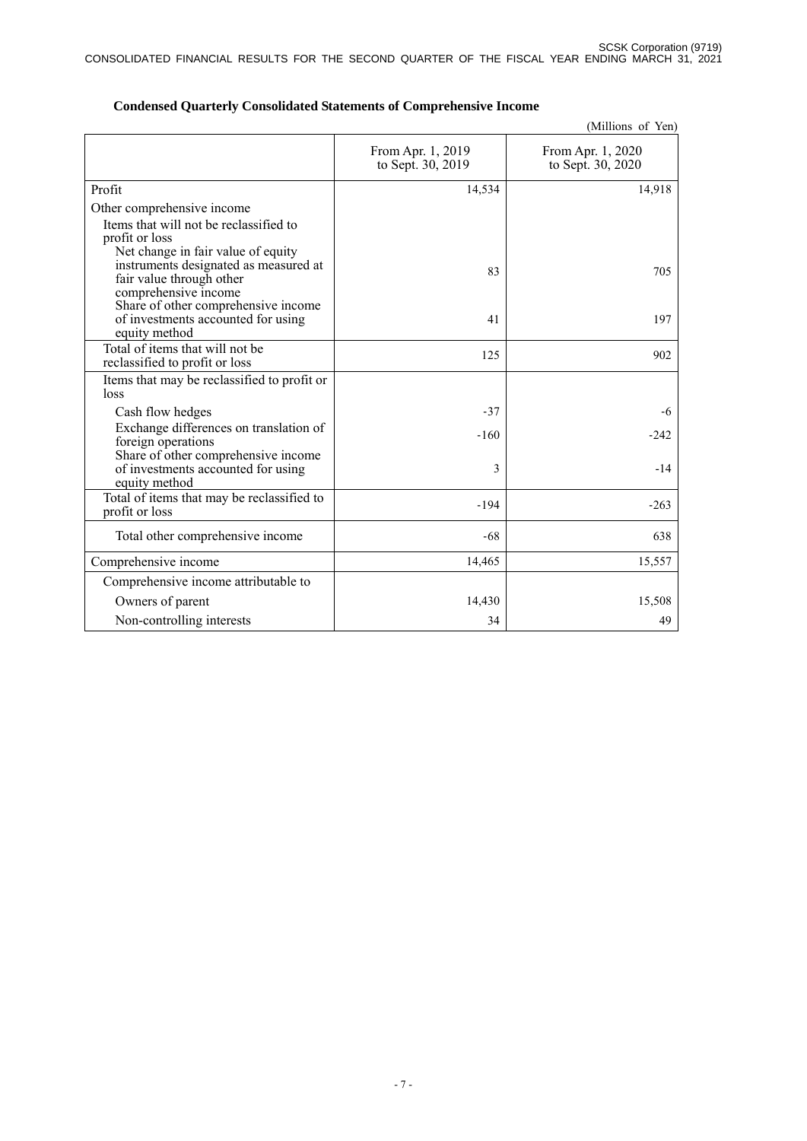|                                                                                                                                 |                                        | (Millions of Yen)                      |
|---------------------------------------------------------------------------------------------------------------------------------|----------------------------------------|----------------------------------------|
|                                                                                                                                 | From Apr. 1, 2019<br>to Sept. 30, 2019 | From Apr. 1, 2020<br>to Sept. 30, 2020 |
| Profit                                                                                                                          | 14,534                                 | 14,918                                 |
| Other comprehensive income                                                                                                      |                                        |                                        |
| Items that will not be reclassified to<br>profit or loss                                                                        |                                        |                                        |
| Net change in fair value of equity<br>instruments designated as measured at<br>fair value through other<br>comprehensive income | 83                                     | 705                                    |
| Share of other comprehensive income<br>of investments accounted for using<br>equity method                                      | 41                                     | 197                                    |
| Total of items that will not be<br>reclassified to profit or loss                                                               | 125                                    | 902                                    |
| Items that may be reclassified to profit or<br>loss                                                                             |                                        |                                        |
| Cash flow hedges                                                                                                                | $-37$                                  | $-6$                                   |
| Exchange differences on translation of<br>foreign operations                                                                    | $-160$                                 | $-242$                                 |
| Share of other comprehensive income<br>of investments accounted for using<br>equity method                                      | 3                                      | $-14$                                  |
| Total of items that may be reclassified to<br>profit or loss                                                                    | $-194$                                 | $-263$                                 |
| Total other comprehensive income                                                                                                | $-68$                                  | 638                                    |
| Comprehensive income                                                                                                            | 14,465                                 | 15,557                                 |
| Comprehensive income attributable to                                                                                            |                                        |                                        |
| Owners of parent                                                                                                                | 14,430                                 | 15,508                                 |
| Non-controlling interests                                                                                                       | 34                                     | 49                                     |

### **Condensed Quarterly Consolidated Statements of Comprehensive Income**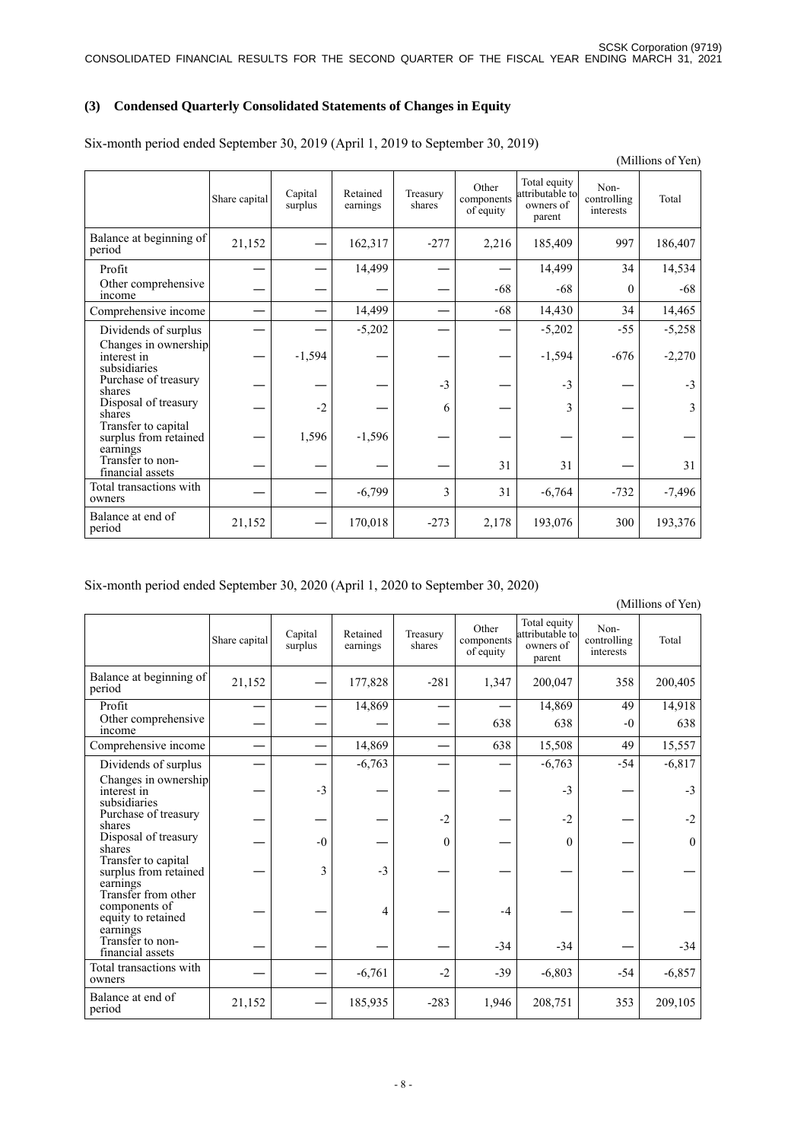### **(3) Condensed Quarterly Consolidated Statements of Changes in Equity**

|                                                          | Share capital | Capital<br>surplus | Retained<br>earnings | Treasury<br>shares | Other<br>components<br>of equity | Total equity<br>attributable to<br>owners of<br>parent | Non-<br>controlling<br>interests | Total    |
|----------------------------------------------------------|---------------|--------------------|----------------------|--------------------|----------------------------------|--------------------------------------------------------|----------------------------------|----------|
| Balance at beginning of<br>period                        | 21,152        |                    | 162,317              | $-277$             | 2,216                            | 185,409                                                | 997                              | 186,407  |
| Profit                                                   |               |                    | 14,499               |                    |                                  | 14,499                                                 | 34                               | 14,534   |
| Other comprehensive<br>income                            |               |                    |                      |                    | $-68$                            | $-68$                                                  | $\Omega$                         | $-68$    |
| Comprehensive income                                     |               |                    | 14,499               |                    | $-68$                            | 14,430                                                 | 34                               | 14,465   |
| Dividends of surplus                                     |               |                    | $-5,202$             |                    |                                  | $-5,202$                                               | $-55$                            | $-5,258$ |
| Changes in ownership<br>interest in<br>subsidiaries      |               | $-1,594$           |                      |                    |                                  | $-1,594$                                               | $-676$                           | $-2,270$ |
| Purchase of treasury<br>shares                           |               |                    |                      | $-3$               |                                  | $-3$                                                   |                                  | $-3$     |
| Disposal of treasury<br>shares                           |               | $-2$               |                      | 6                  |                                  | 3                                                      |                                  | 3        |
| Transfer to capital<br>surplus from retained<br>earnings |               | 1,596              | $-1,596$             |                    |                                  |                                                        |                                  |          |
| Transfer to non-<br>financial assets                     |               |                    |                      |                    | 31                               | 31                                                     |                                  | 31       |
| Total transactions with<br>owners                        |               |                    | $-6,799$             | 3                  | 31                               | $-6,764$                                               | $-732$                           | $-7,496$ |
| Balance at end of<br>period                              | 21,152        |                    | 170,018              | $-273$             | 2,178                            | 193,076                                                | 300                              | 193,376  |

Six-month period ended September 30, 2019 (April 1, 2019 to September 30, 2019)

Six-month period ended September 30, 2020 (April 1, 2020 to September 30, 2020)

(Millions of Yen)

(Millions of Yen)

|                                                                        | Share capital | Capital<br>surplus | Retained<br>earnings | Treasury<br>shares | Other<br>components<br>of equity | Total equity<br>attributable to<br>owners of<br>parent | Non-<br>controlling<br>interests | Total    |
|------------------------------------------------------------------------|---------------|--------------------|----------------------|--------------------|----------------------------------|--------------------------------------------------------|----------------------------------|----------|
| Balance at beginning of<br>period                                      | 21,152        |                    | 177,828              | $-281$             | 1,347                            | 200,047                                                | 358                              | 200,405  |
| Profit                                                                 |               |                    | 14,869               |                    |                                  | 14,869                                                 | 49                               | 14,918   |
| Other comprehensive<br>income                                          |               |                    |                      |                    | 638                              | 638                                                    | $-0$                             | 638      |
| Comprehensive income                                                   |               |                    | 14,869               |                    | 638                              | 15,508                                                 | 49                               | 15,557   |
| Dividends of surplus                                                   |               |                    | $-6,763$             |                    |                                  | $-6,763$                                               | $-54$                            | $-6,817$ |
| Changes in ownership<br>interest in<br>subsidiaries                    |               | $-3$               |                      |                    |                                  | $-3$                                                   |                                  | $-3$     |
| Purchase of treasury<br>shares                                         |               |                    |                      | $-2$               |                                  | $-2$                                                   |                                  | $-2$     |
| Disposal of treasury<br>shares                                         |               | $-0$               |                      | $\theta$           |                                  | $\theta$                                               |                                  | $\theta$ |
| Transfer to capital<br>surplus from retained<br>earnings               |               | 3                  | $-3$                 |                    |                                  |                                                        |                                  |          |
| Transfer from other<br>components of<br>equity to retained<br>earnings |               |                    | 4                    |                    | $-4$                             |                                                        |                                  |          |
| Transfer to non-<br>financial assets                                   |               |                    |                      |                    | $-34$                            | $-34$                                                  |                                  | $-34$    |
| Total transactions with<br>owners                                      |               |                    | $-6,761$             | $-2$               | $-39$                            | $-6,803$                                               | $-54$                            | $-6,857$ |
| Balance at end of<br>period                                            | 21,152        |                    | 185,935              | $-283$             | 1,946                            | 208,751                                                | 353                              | 209,105  |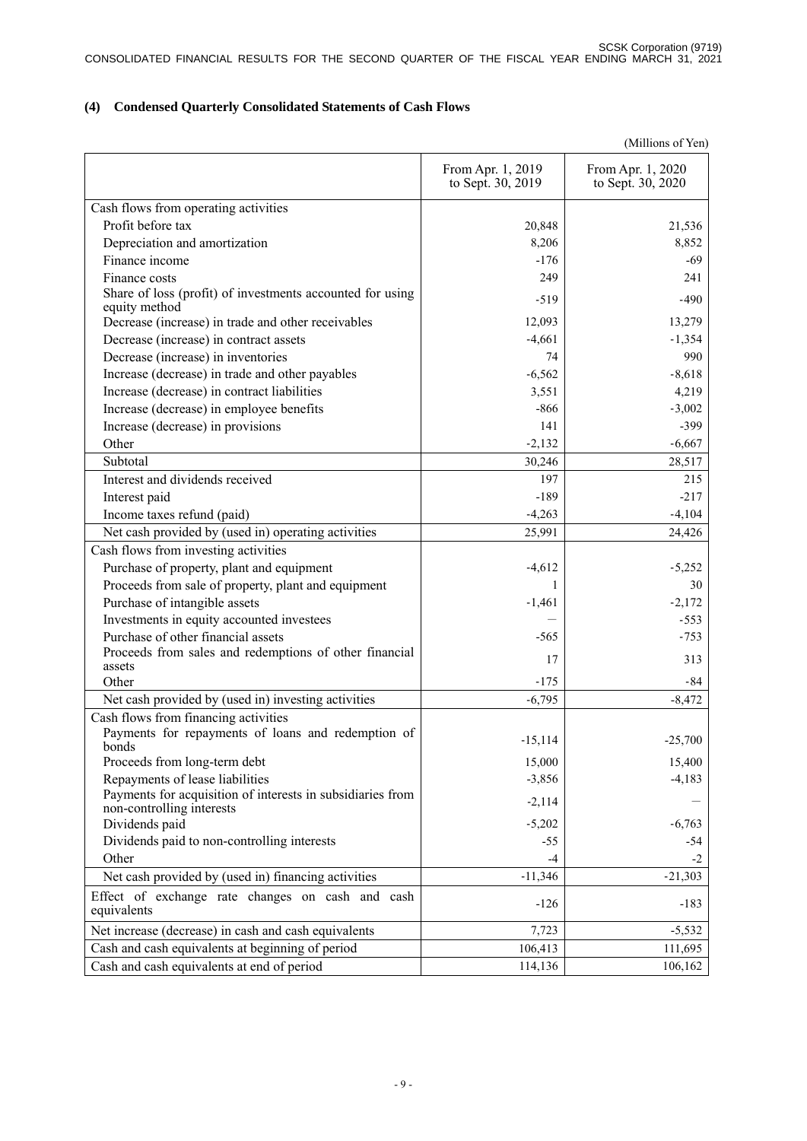# **(4) Condensed Quarterly Consolidated Statements of Cash Flows**

|                                                                                         |                                        | (Millions of Yen)                      |
|-----------------------------------------------------------------------------------------|----------------------------------------|----------------------------------------|
|                                                                                         | From Apr. 1, 2019<br>to Sept. 30, 2019 | From Apr. 1, 2020<br>to Sept. 30, 2020 |
| Cash flows from operating activities                                                    |                                        |                                        |
| Profit before tax                                                                       | 20,848                                 | 21,536                                 |
| Depreciation and amortization                                                           | 8,206                                  | 8,852                                  |
| Finance income                                                                          | $-176$                                 | -69                                    |
| Finance costs                                                                           | 249                                    | 241                                    |
| Share of loss (profit) of investments accounted for using<br>equity method              | $-519$                                 | $-490$                                 |
| Decrease (increase) in trade and other receivables                                      | 12,093                                 | 13,279                                 |
| Decrease (increase) in contract assets                                                  | $-4,661$                               | $-1,354$                               |
| Decrease (increase) in inventories                                                      | 74                                     | 990                                    |
| Increase (decrease) in trade and other payables                                         | $-6,562$                               | $-8,618$                               |
| Increase (decrease) in contract liabilities                                             | 3,551                                  | 4,219                                  |
| Increase (decrease) in employee benefits                                                | $-866$                                 | $-3,002$                               |
| Increase (decrease) in provisions                                                       | 141                                    | $-399$                                 |
| Other                                                                                   | $-2,132$                               | $-6,667$                               |
| Subtotal                                                                                | 30,246                                 | 28,517                                 |
| Interest and dividends received                                                         | 197                                    | 215                                    |
| Interest paid                                                                           | $-189$                                 | $-217$                                 |
| Income taxes refund (paid)                                                              | $-4,263$                               | $-4,104$                               |
| Net cash provided by (used in) operating activities                                     | 25,991                                 | 24,426                                 |
| Cash flows from investing activities                                                    |                                        |                                        |
| Purchase of property, plant and equipment                                               | $-4,612$                               | $-5,252$                               |
| Proceeds from sale of property, plant and equipment                                     |                                        | 30                                     |
| Purchase of intangible assets                                                           | $-1,461$                               | $-2,172$                               |
| Investments in equity accounted investees                                               |                                        | $-553$                                 |
| Purchase of other financial assets                                                      | $-565$                                 | $-753$                                 |
| Proceeds from sales and redemptions of other financial                                  | 17                                     | 313                                    |
| assets                                                                                  |                                        |                                        |
| Other                                                                                   | $-175$                                 | -84                                    |
| Net cash provided by (used in) investing activities                                     | $-6,795$                               | $-8,472$                               |
| Cash flows from financing activities                                                    |                                        |                                        |
| Payments for repayments of loans and redemption of<br>bonds                             | $-15,114$                              | $-25,700$                              |
| Proceeds from long-term debt                                                            | 15,000                                 | 15,400                                 |
| Repayments of lease liabilities                                                         | $-3,856$                               | $-4,183$                               |
| Payments for acquisition of interests in subsidiaries from<br>non-controlling interests | $-2,114$                               |                                        |
| Dividends paid                                                                          | $-5,202$                               | $-6,763$                               |
| Dividends paid to non-controlling interests                                             | $-55$                                  | $-54$                                  |
| Other                                                                                   | $-4$                                   | $-2$                                   |
| Net cash provided by (used in) financing activities                                     | $-11,346$                              | $-21,303$                              |
| Effect of exchange rate changes on cash and cash<br>equivalents                         | $-126$                                 | $-183$                                 |
| Net increase (decrease) in cash and cash equivalents                                    | 7,723                                  | $-5,532$                               |
| Cash and cash equivalents at beginning of period                                        | 106,413                                | 111,695                                |
| Cash and cash equivalents at end of period                                              | 114,136                                | 106,162                                |
|                                                                                         |                                        |                                        |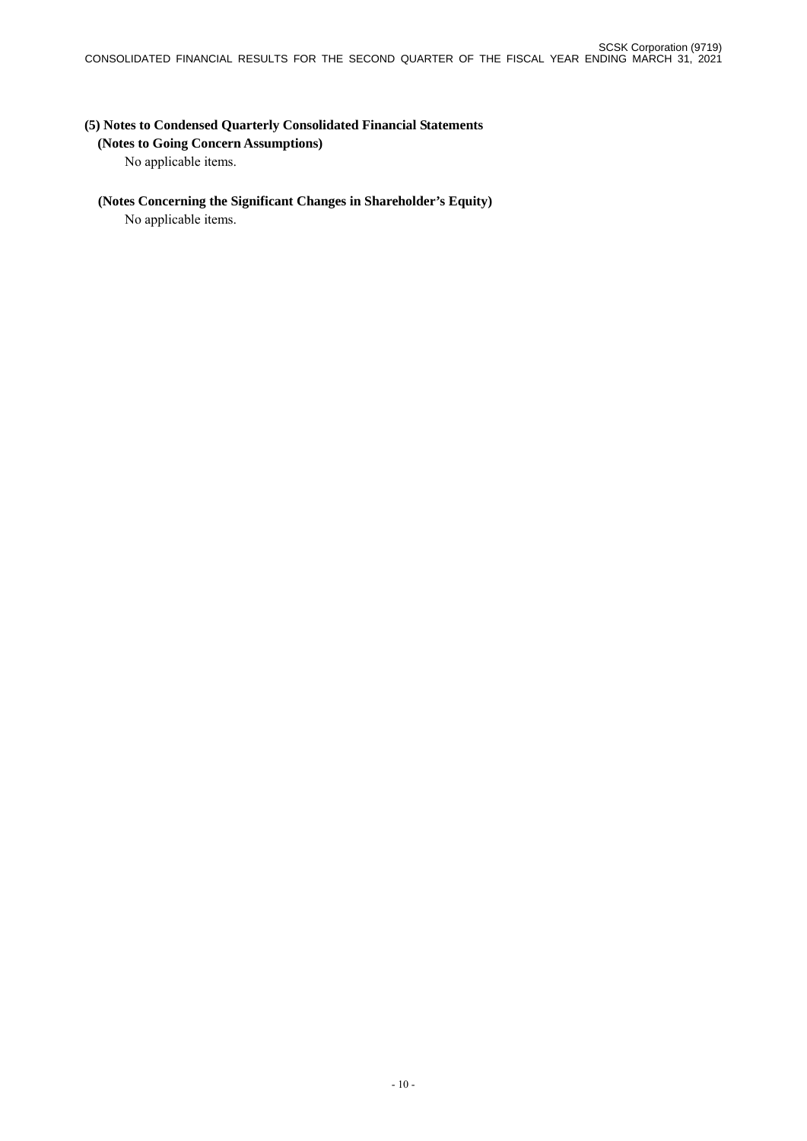## **(5) Notes to Condensed Quarterly Consolidated Financial Statements**

#### **(Notes to Going Concern Assumptions)**

No applicable items.

### **(Notes Concerning the Significant Changes in Shareholder's Equity)**

No applicable items.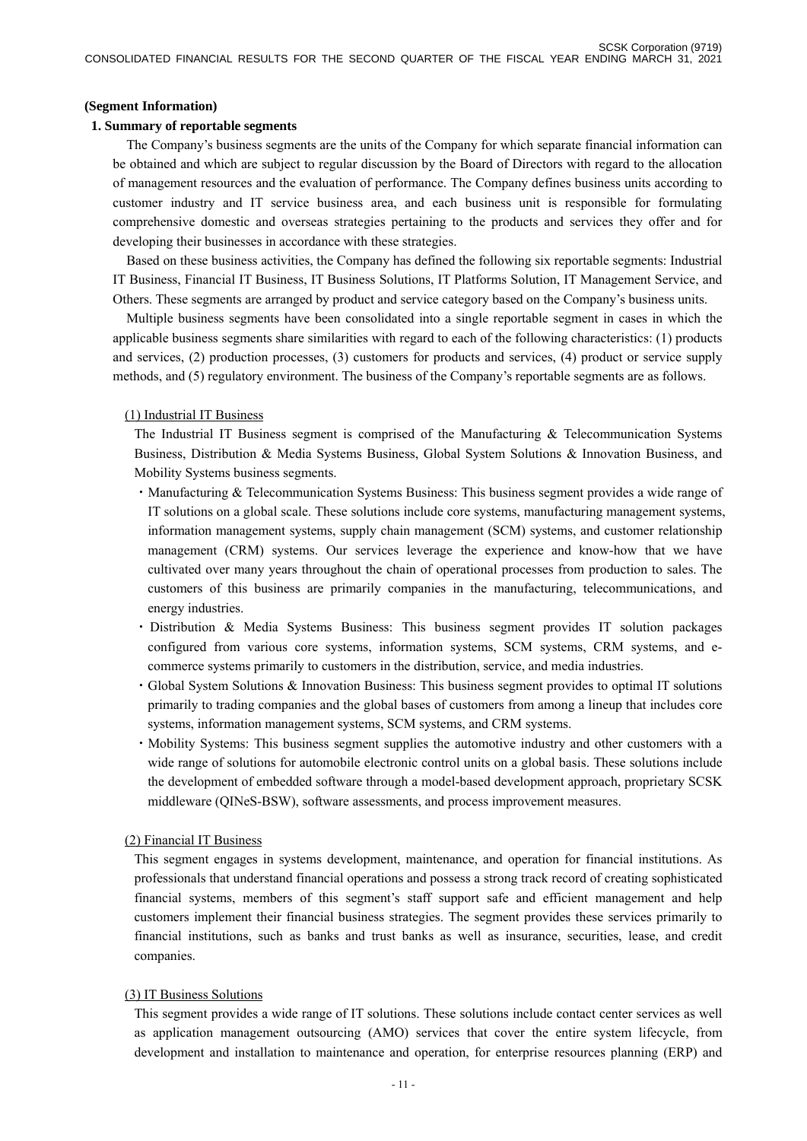#### **(Segment Information)**

#### **1. Summary of reportable segments**

The Company's business segments are the units of the Company for which separate financial information can be obtained and which are subject to regular discussion by the Board of Directors with regard to the allocation of management resources and the evaluation of performance. The Company defines business units according to customer industry and IT service business area, and each business unit is responsible for formulating comprehensive domestic and overseas strategies pertaining to the products and services they offer and for developing their businesses in accordance with these strategies.

Based on these business activities, the Company has defined the following six reportable segments: Industrial IT Business, Financial IT Business, IT Business Solutions, IT Platforms Solution, IT Management Service, and Others. These segments are arranged by product and service category based on the Company's business units.

Multiple business segments have been consolidated into a single reportable segment in cases in which the applicable business segments share similarities with regard to each of the following characteristics: (1) products and services, (2) production processes, (3) customers for products and services, (4) product or service supply methods, and (5) regulatory environment. The business of the Company's reportable segments are as follows.

#### (1) Industrial IT Business

The Industrial IT Business segment is comprised of the Manufacturing  $\&$  Telecommunication Systems Business, Distribution & Media Systems Business, Global System Solutions & Innovation Business, and Mobility Systems business segments.

- ・Manufacturing & Telecommunication Systems Business: This business segment provides a wide range of IT solutions on a global scale. These solutions include core systems, manufacturing management systems, information management systems, supply chain management (SCM) systems, and customer relationship management (CRM) systems. Our services leverage the experience and know-how that we have cultivated over many years throughout the chain of operational processes from production to sales. The customers of this business are primarily companies in the manufacturing, telecommunications, and energy industries.
- ・Distribution & Media Systems Business: This business segment provides IT solution packages configured from various core systems, information systems, SCM systems, CRM systems, and ecommerce systems primarily to customers in the distribution, service, and media industries.
- ・Global System Solutions & Innovation Business: This business segment provides to optimal IT solutions primarily to trading companies and the global bases of customers from among a lineup that includes core systems, information management systems, SCM systems, and CRM systems.
- ・Mobility Systems: This business segment supplies the automotive industry and other customers with a wide range of solutions for automobile electronic control units on a global basis. These solutions include the development of embedded software through a model-based development approach, proprietary SCSK middleware (QINeS-BSW), software assessments, and process improvement measures.

#### (2) Financial IT Business

This segment engages in systems development, maintenance, and operation for financial institutions. As professionals that understand financial operations and possess a strong track record of creating sophisticated financial systems, members of this segment's staff support safe and efficient management and help customers implement their financial business strategies. The segment provides these services primarily to financial institutions, such as banks and trust banks as well as insurance, securities, lease, and credit companies.

#### (3) IT Business Solutions

This segment provides a wide range of IT solutions. These solutions include contact center services as well as application management outsourcing (AMO) services that cover the entire system lifecycle, from development and installation to maintenance and operation, for enterprise resources planning (ERP) and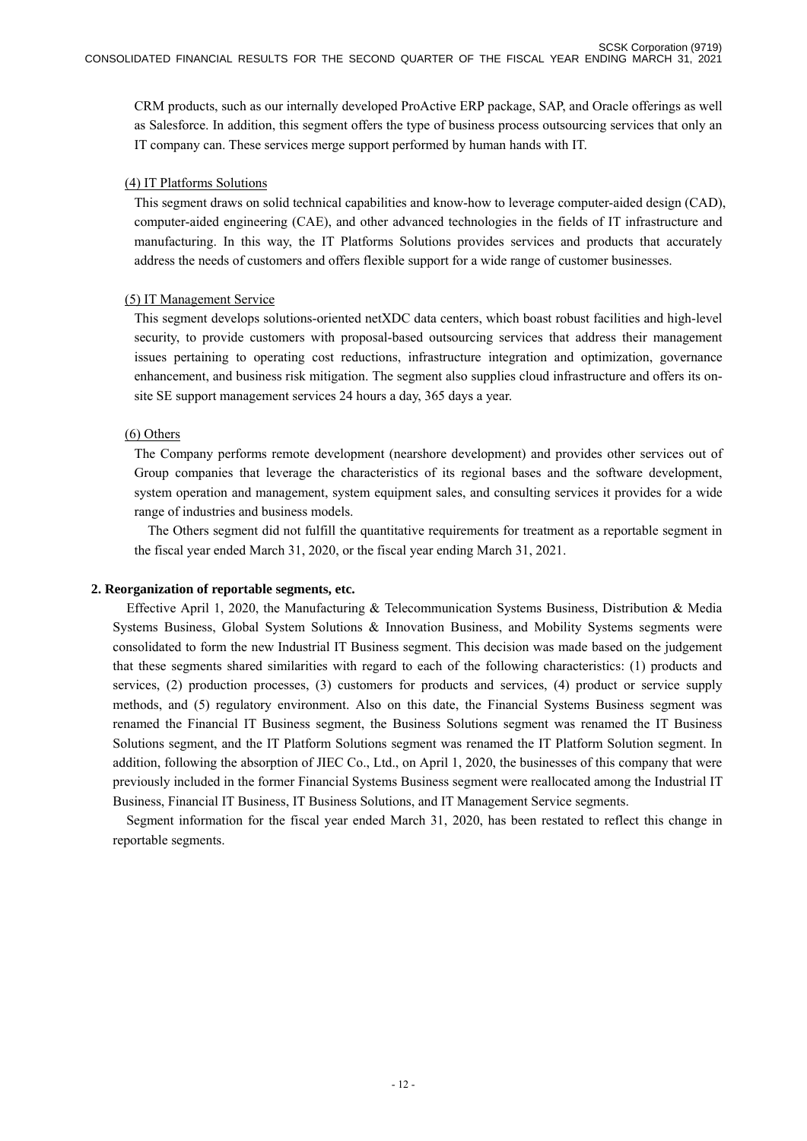CRM products, such as our internally developed ProActive ERP package, SAP, and Oracle offerings as well as Salesforce. In addition, this segment offers the type of business process outsourcing services that only an IT company can. These services merge support performed by human hands with IT.

#### (4) IT Platforms Solutions

This segment draws on solid technical capabilities and know-how to leverage computer-aided design (CAD), computer-aided engineering (CAE), and other advanced technologies in the fields of IT infrastructure and manufacturing. In this way, the IT Platforms Solutions provides services and products that accurately address the needs of customers and offers flexible support for a wide range of customer businesses.

### (5) IT Management Service

This segment develops solutions-oriented netXDC data centers, which boast robust facilities and high-level security, to provide customers with proposal-based outsourcing services that address their management issues pertaining to operating cost reductions, infrastructure integration and optimization, governance enhancement, and business risk mitigation. The segment also supplies cloud infrastructure and offers its onsite SE support management services 24 hours a day, 365 days a year.

### (6) Others

The Company performs remote development (nearshore development) and provides other services out of Group companies that leverage the characteristics of its regional bases and the software development, system operation and management, system equipment sales, and consulting services it provides for a wide range of industries and business models.

The Others segment did not fulfill the quantitative requirements for treatment as a reportable segment in the fiscal year ended March 31, 2020, or the fiscal year ending March 31, 2021.

### **2. Reorganization of reportable segments, etc.**

Effective April 1, 2020, the Manufacturing & Telecommunication Systems Business, Distribution & Media Systems Business, Global System Solutions & Innovation Business, and Mobility Systems segments were consolidated to form the new Industrial IT Business segment. This decision was made based on the judgement that these segments shared similarities with regard to each of the following characteristics: (1) products and services, (2) production processes, (3) customers for products and services, (4) product or service supply methods, and (5) regulatory environment. Also on this date, the Financial Systems Business segment was renamed the Financial IT Business segment, the Business Solutions segment was renamed the IT Business Solutions segment, and the IT Platform Solutions segment was renamed the IT Platform Solution segment. In addition, following the absorption of JIEC Co., Ltd., on April 1, 2020, the businesses of this company that were previously included in the former Financial Systems Business segment were reallocated among the Industrial IT Business, Financial IT Business, IT Business Solutions, and IT Management Service segments.

Segment information for the fiscal year ended March 31, 2020, has been restated to reflect this change in reportable segments.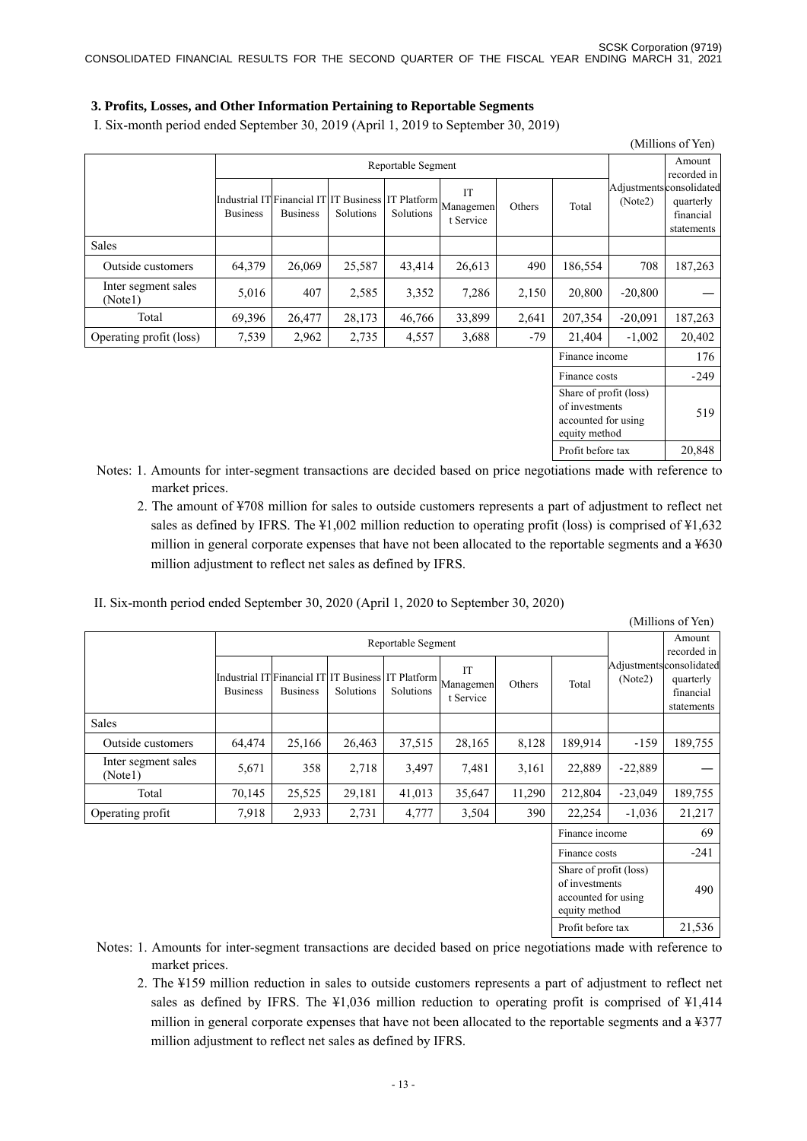### **3. Profits, Losses, and Other Information Pertaining to Reportable Segments**

I. Six-month period ended September 30, 2019 (April 1, 2019 to September 30, 2019)

|                                |                 |                 |           |                    |                                                                           |        |                                                                                  |                                    | (Millions of Yen)                    |
|--------------------------------|-----------------|-----------------|-----------|--------------------|---------------------------------------------------------------------------|--------|----------------------------------------------------------------------------------|------------------------------------|--------------------------------------|
|                                |                 |                 |           | Reportable Segment |                                                                           |        |                                                                                  |                                    | Amount<br>recorded in                |
|                                | <b>Business</b> | <b>Business</b> | Solutions | Solutions          | Industrial IT Financial IT IT Business IT Platform Managemen<br>t Service | Others | Total                                                                            | Adjustmentsconsolidated<br>(Note2) | quarterly<br>financial<br>statements |
| <b>Sales</b>                   |                 |                 |           |                    |                                                                           |        |                                                                                  |                                    |                                      |
| Outside customers              | 64,379          | 26,069          | 25,587    | 43,414             | 26,613                                                                    | 490    | 186,554                                                                          | 708                                | 187,263                              |
| Inter segment sales<br>(Note1) | 5,016           | 407             | 2,585     | 3,352              | 7,286                                                                     | 2,150  | 20,800                                                                           | $-20,800$                          |                                      |
| Total                          | 69,396          | 26,477          | 28,173    | 46,766             | 33,899                                                                    | 2,641  | 207,354                                                                          | $-20,091$                          | 187,263                              |
| Operating profit (loss)        | 7,539           | 2,962           | 2,735     | 4,557              | 3,688                                                                     | $-79$  | 21,404                                                                           | $-1,002$                           | 20,402                               |
|                                |                 |                 |           |                    |                                                                           |        | Finance income                                                                   |                                    | 176                                  |
|                                |                 |                 |           |                    |                                                                           |        | Finance costs                                                                    |                                    | $-249$                               |
|                                |                 |                 |           |                    |                                                                           |        | Share of profit (loss)<br>of investments<br>accounted for using<br>equity method |                                    | 519                                  |

- Notes: 1. Amounts for inter-segment transactions are decided based on price negotiations made with reference to market prices.
	- 2. The amount of ¥708 million for sales to outside customers represents a part of adjustment to reflect net sales as defined by IFRS. The ¥1,002 million reduction to operating profit (loss) is comprised of ¥1,632 million in general corporate expenses that have not been allocated to the reportable segments and a ¥630 million adjustment to reflect net sales as defined by IFRS.

Profit before tax 20,848

II. Six-month period ended September 30, 2020 (April 1, 2020 to September 30, 2020)

|                                |                 |                                                                       |           |                    |                              |        |                                                                                  |           | (Millions of Yen)                                               |
|--------------------------------|-----------------|-----------------------------------------------------------------------|-----------|--------------------|------------------------------|--------|----------------------------------------------------------------------------------|-----------|-----------------------------------------------------------------|
|                                |                 |                                                                       |           | Reportable Segment |                              |        |                                                                                  |           | Amount<br>recorded in                                           |
|                                | <b>Business</b> | Industrial IT Financial IT IT Business IT Platform<br><b>Business</b> | Solutions | Solutions          | IT<br>Managemen<br>t Service | Others | Total                                                                            | (Note2)   | Adjustmentsconsolidated<br>quarterly<br>financial<br>statements |
| <b>Sales</b>                   |                 |                                                                       |           |                    |                              |        |                                                                                  |           |                                                                 |
| Outside customers              | 64,474          | 25,166                                                                | 26,463    | 37,515             | 28,165                       | 8,128  | 189,914                                                                          | $-159$    | 189,755                                                         |
| Inter segment sales<br>(Notel) | 5,671           | 358                                                                   | 2,718     | 3,497              | 7,481                        | 3,161  | 22,889                                                                           | $-22,889$ |                                                                 |
| Total                          | 70,145          | 25,525                                                                | 29,181    | 41,013             | 35,647                       | 11,290 | 212,804                                                                          | $-23,049$ | 189,755                                                         |
| Operating profit               | 7,918           | 2,933                                                                 | 2,731     | 4,777              | 3,504                        | 390    | 22,254                                                                           | $-1,036$  | 21,217                                                          |
|                                |                 |                                                                       |           |                    |                              |        | Finance income                                                                   |           | 69                                                              |
|                                |                 |                                                                       |           |                    |                              |        | Finance costs                                                                    |           | $-241$                                                          |
|                                |                 |                                                                       |           |                    |                              |        | Share of profit (loss)<br>of investments<br>accounted for using<br>equity method |           | 490                                                             |
|                                |                 |                                                                       |           |                    |                              |        | Profit before tax                                                                |           | 21,536                                                          |

Notes: 1. Amounts for inter-segment transactions are decided based on price negotiations made with reference to market prices.

2. The ¥159 million reduction in sales to outside customers represents a part of adjustment to reflect net sales as defined by IFRS. The ¥1,036 million reduction to operating profit is comprised of ¥1,414 million in general corporate expenses that have not been allocated to the reportable segments and a ¥377 million adjustment to reflect net sales as defined by IFRS.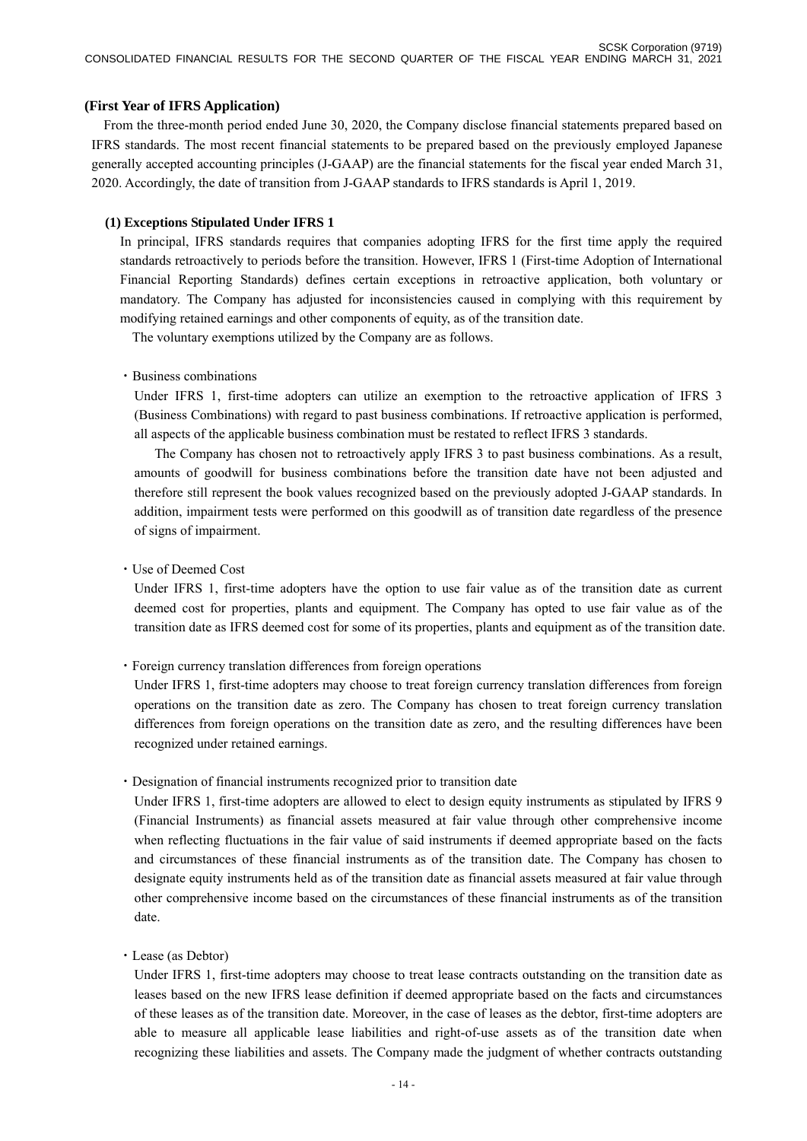#### **(First Year of IFRS Application)**

From the three-month period ended June 30, 2020, the Company disclose financial statements prepared based on IFRS standards. The most recent financial statements to be prepared based on the previously employed Japanese generally accepted accounting principles (J-GAAP) are the financial statements for the fiscal year ended March 31, 2020. Accordingly, the date of transition from J-GAAP standards to IFRS standards is April 1, 2019.

#### **(1) Exceptions Stipulated Under IFRS 1**

In principal, IFRS standards requires that companies adopting IFRS for the first time apply the required standards retroactively to periods before the transition. However, IFRS 1 (First-time Adoption of International Financial Reporting Standards) defines certain exceptions in retroactive application, both voluntary or mandatory. The Company has adjusted for inconsistencies caused in complying with this requirement by modifying retained earnings and other components of equity, as of the transition date.

The voluntary exemptions utilized by the Company are as follows.

#### ・Business combinations

Under IFRS 1, first-time adopters can utilize an exemption to the retroactive application of IFRS 3 (Business Combinations) with regard to past business combinations. If retroactive application is performed, all aspects of the applicable business combination must be restated to reflect IFRS 3 standards.

The Company has chosen not to retroactively apply IFRS 3 to past business combinations. As a result, amounts of goodwill for business combinations before the transition date have not been adjusted and therefore still represent the book values recognized based on the previously adopted J-GAAP standards. In addition, impairment tests were performed on this goodwill as of transition date regardless of the presence of signs of impairment.

・Use of Deemed Cost

Under IFRS 1, first-time adopters have the option to use fair value as of the transition date as current deemed cost for properties, plants and equipment. The Company has opted to use fair value as of the transition date as IFRS deemed cost for some of its properties, plants and equipment as of the transition date.

・Foreign currency translation differences from foreign operations

Under IFRS 1, first-time adopters may choose to treat foreign currency translation differences from foreign operations on the transition date as zero. The Company has chosen to treat foreign currency translation differences from foreign operations on the transition date as zero, and the resulting differences have been recognized under retained earnings.

・Designation of financial instruments recognized prior to transition date

Under IFRS 1, first-time adopters are allowed to elect to design equity instruments as stipulated by IFRS 9 (Financial Instruments) as financial assets measured at fair value through other comprehensive income when reflecting fluctuations in the fair value of said instruments if deemed appropriate based on the facts and circumstances of these financial instruments as of the transition date. The Company has chosen to designate equity instruments held as of the transition date as financial assets measured at fair value through other comprehensive income based on the circumstances of these financial instruments as of the transition date.

・Lease (as Debtor)

Under IFRS 1, first-time adopters may choose to treat lease contracts outstanding on the transition date as leases based on the new IFRS lease definition if deemed appropriate based on the facts and circumstances of these leases as of the transition date. Moreover, in the case of leases as the debtor, first-time adopters are able to measure all applicable lease liabilities and right-of-use assets as of the transition date when recognizing these liabilities and assets. The Company made the judgment of whether contracts outstanding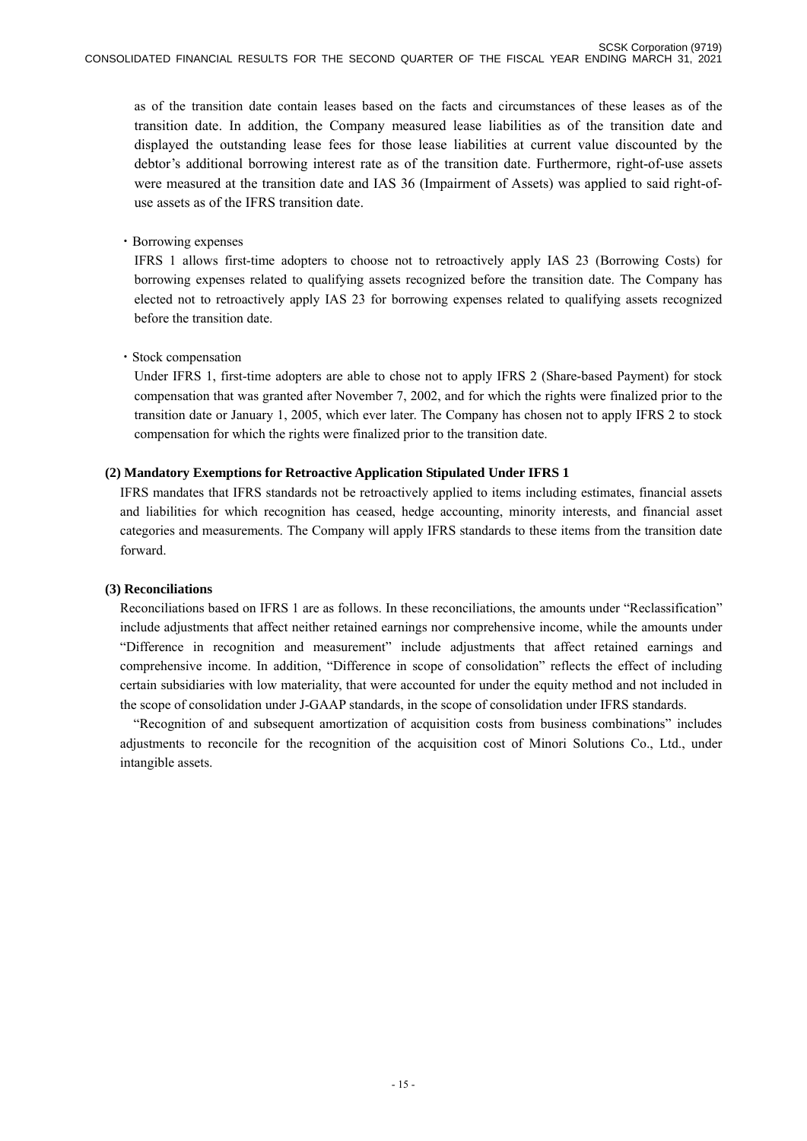as of the transition date contain leases based on the facts and circumstances of these leases as of the transition date. In addition, the Company measured lease liabilities as of the transition date and displayed the outstanding lease fees for those lease liabilities at current value discounted by the debtor's additional borrowing interest rate as of the transition date. Furthermore, right-of-use assets were measured at the transition date and IAS 36 (Impairment of Assets) was applied to said right-ofuse assets as of the IFRS transition date.

### ・Borrowing expenses

IFRS 1 allows first-time adopters to choose not to retroactively apply IAS 23 (Borrowing Costs) for borrowing expenses related to qualifying assets recognized before the transition date. The Company has elected not to retroactively apply IAS 23 for borrowing expenses related to qualifying assets recognized before the transition date.

### ・Stock compensation

Under IFRS 1, first-time adopters are able to chose not to apply IFRS 2 (Share-based Payment) for stock compensation that was granted after November 7, 2002, and for which the rights were finalized prior to the transition date or January 1, 2005, which ever later. The Company has chosen not to apply IFRS 2 to stock compensation for which the rights were finalized prior to the transition date.

### **(2) Mandatory Exemptions for Retroactive Application Stipulated Under IFRS 1**

IFRS mandates that IFRS standards not be retroactively applied to items including estimates, financial assets and liabilities for which recognition has ceased, hedge accounting, minority interests, and financial asset categories and measurements. The Company will apply IFRS standards to these items from the transition date forward.

#### **(3) Reconciliations**

Reconciliations based on IFRS 1 are as follows. In these reconciliations, the amounts under "Reclassification" include adjustments that affect neither retained earnings nor comprehensive income, while the amounts under "Difference in recognition and measurement" include adjustments that affect retained earnings and comprehensive income. In addition, "Difference in scope of consolidation" reflects the effect of including certain subsidiaries with low materiality, that were accounted for under the equity method and not included in the scope of consolidation under J-GAAP standards, in the scope of consolidation under IFRS standards.

"Recognition of and subsequent amortization of acquisition costs from business combinations" includes adjustments to reconcile for the recognition of the acquisition cost of Minori Solutions Co., Ltd., under intangible assets.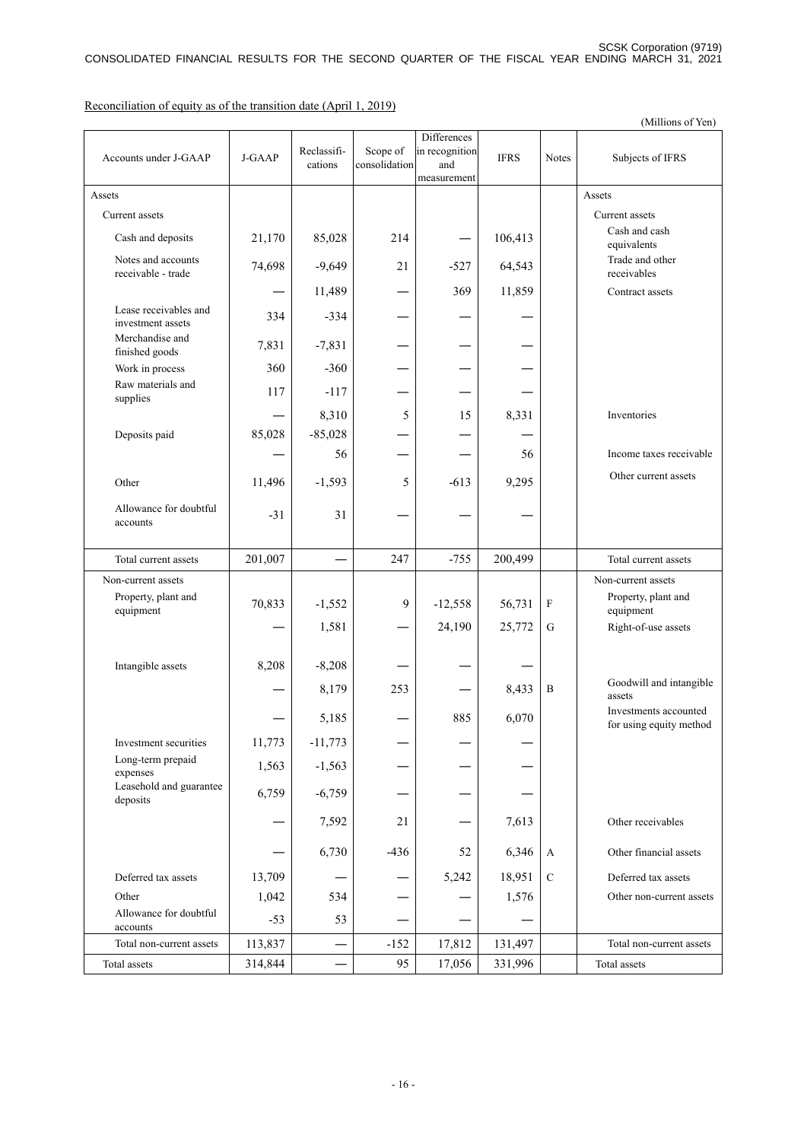(Millions of Yen) Accounts under J-GAAP J-GAAP Reclassifications Scope of consolidation **Differences** in recognition and measurement IFRS Notes Subjects of IFRS Assets and the contract of the contract of the contract of the contract of the contract of the contract of the contract of the contract of the contract of the contract of the contract of the contract of the contract of the Current assets **Current assets Current assets Current assets** Cash and deposits 21,170 85,028 214 — 106,413 Cash and cash equivalents Notes and accounts receivable - trade 74,698 -9,649 21 -527 64,543 Trade and other receivables —  $\begin{array}{|c|c|c|c|c|c|c|c|c|} \hline \text{11,489} & \text{---} & \text{369} & \text{11,859} & \text{---} & \text{Contract assets} \ \hline \end{array}$ Lease receivables and Lease receivables and<br>investment assets 334 -334 Merchandise and  $7,831$   $-7,831$   $-7,831$ Work in process  $360$  –360 Raw materials and  $\sum_{\text{supplies}}$   $\left| \begin{array}{ccc} 117 & -117 & -1 & -1 \end{array} \right|$ 8,310 5 15 8,331 Inventories Deposits paid  $85,028$  -85,028 ― 56 ― ― 56 Income taxes receivable Other 11,496 -1,593  $5$  -613 9,295 Other current assets Allowance for doubtful  $\frac{21}{4}$   $\frac{31}{4}$   $\frac{31}{4}$   $\frac{31}{4}$   $\frac{31}{4}$   $\frac{31}{4}$   $\frac{31}{4}$   $\frac{31}{4}$   $\frac{31}{4}$   $\frac{31}{4}$   $\frac{31}{4}$   $\frac{31}{4}$   $\frac{31}{4}$   $\frac{31}{4}$   $\frac{31}{4}$   $\frac{31}{4}$   $\frac{31}{4}$   $\frac{31}{4}$   $\frac{31}{4}$   $\frac{31}{4}$  Total current assets  $201,007$   $247$   $-755$   $200,499$  Total current assets Non-current assets and the set of the number of the number of the Non-current assets non-current assets Property, plant and Property, plant and  $\begin{bmatrix} 70,833 \\ -1,552 \end{bmatrix}$  -1,552 -12,558 56,731 F Property, plant and equipment equipment  $1,581$  – 24,190 25,772 G Right-of-use assets Intangible assets  $8,208$  -8,208 ― 8,179 253 ― 8,433 B Goodwill and intangible assets  $5,185$   $-$  885 6,070 Investments accounted for using equity method Investment securities  $11,773$  -11,773 Long-term prepaid  $\begin{array}{c|c|c|c|c|c|c} \text{Log-ectin problem} & 1,563 & -1,563 & - & - & - & - \end{array}$ Leasehold and guarantee  $\begin{array}{c|c|c|c|c|c|c|c} \text{determinant} & 6,759 & -6,759 & - & - & - & - \end{array}$  $7,592$  21 — 7,613 Other receivables  $\begin{array}{|c|c|c|c|c|c|c|c|c|} \hline 6,730 & -436 & 52 & 6,346 & A & \text{Other financial assets} \ \hline \end{array}$ Deferred tax assets  $13,709$  —  $-$  5,242 18,951 C Deferred tax assets Other  $1,042$   $534$   $1,576$  Other non-current assets Allowance for doubtful  $\frac{20}{3}$   $\frac{53}{3}$   $\frac{53}{-}$   $\frac{-1}{-}$   $\frac{-1}{-}$ Total non-current assets 113,837 ― -152 17,812 131,497 Total non-current assets Total assets 1914,844 – 95 17,056 331,996 Total assets

Reconciliation of equity as of the transition date (April 1, 2019)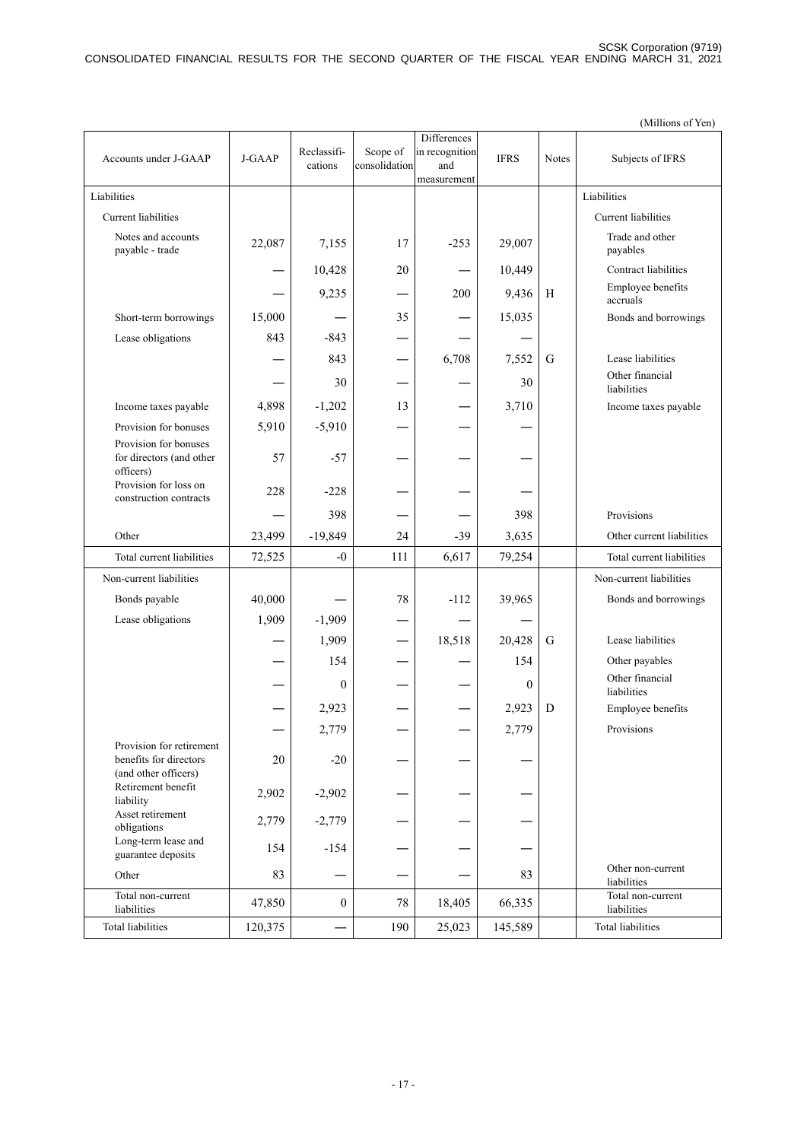|                                                   |         |                  |               | <b>Differences</b> |             |              |                                  |
|---------------------------------------------------|---------|------------------|---------------|--------------------|-------------|--------------|----------------------------------|
| Accounts under J-GAAP                             | J-GAAP  | Reclassifi-      | Scope of      | in recognition     | <b>IFRS</b> | <b>Notes</b> | Subjects of IFRS                 |
|                                                   |         | cations          | consolidation | and<br>measurement |             |              |                                  |
| Liabilities                                       |         |                  |               |                    |             |              | Liabilities                      |
|                                                   |         |                  |               |                    |             |              |                                  |
| Current liabilities                               |         |                  |               |                    |             |              | Current liabilities              |
| Notes and accounts<br>payable - trade             | 22,087  | 7,155            | 17            | $-253$             | 29,007      |              | Trade and other<br>payables      |
|                                                   |         | 10,428           | 20            |                    | 10,449      |              | Contract liabilities             |
|                                                   |         | 9,235            |               | 200                | 9,436       | H            | Employee benefits<br>accruals    |
| Short-term borrowings                             | 15,000  |                  | 35            |                    | 15,035      |              | Bonds and borrowings             |
| Lease obligations                                 | 843     | -843             |               |                    |             |              |                                  |
|                                                   |         | 843              |               | 6,708              | 7,552       | G            | Lease liabilities                |
|                                                   |         | 30               |               |                    | 30          |              | Other financial<br>liabilities   |
| Income taxes payable                              | 4,898   | $-1,202$         | 13            |                    | 3,710       |              | Income taxes payable             |
| Provision for bonuses                             | 5,910   | $-5,910$         |               |                    |             |              |                                  |
| Provision for bonuses<br>for directors (and other | 57      | $-57$            |               |                    |             |              |                                  |
| officers)<br>Provision for loss on                | 228     | $-228$           |               |                    |             |              |                                  |
| construction contracts                            |         |                  |               |                    |             |              |                                  |
|                                                   |         | 398              |               |                    | 398         |              | Provisions                       |
| Other                                             | 23,499  | $-19,849$        | 24            | $-39$              | 3,635       |              | Other current liabilities        |
| Total current liabilities                         | 72,525  | $-0$             | 111           | 6,617              | 79,254      |              | Total current liabilities        |
| Non-current liabilities                           |         |                  |               |                    |             |              | Non-current liabilities          |
| Bonds payable                                     | 40,000  |                  | 78            | $-112$             | 39,965      |              | Bonds and borrowings             |
| Lease obligations                                 | 1,909   | $-1,909$         |               |                    |             |              |                                  |
|                                                   |         | 1,909            |               | 18,518             | 20,428      | G            | Lease liabilities                |
|                                                   |         | 154              |               |                    | 154         |              | Other payables                   |
|                                                   |         |                  |               |                    |             |              | Other financial                  |
|                                                   |         | $\mathbf{0}$     |               |                    | $\theta$    |              | liabilities                      |
|                                                   |         | 2,923            |               |                    | 2,923       | D            | Employee benefits                |
|                                                   |         | 2,779            |               |                    | 2,779       |              | Provisions                       |
| Provision for retirement                          |         |                  |               |                    |             |              |                                  |
| benefits for directors<br>(and other officers)    | 20      | $-20$            |               |                    |             |              |                                  |
| Retirement benefit<br>liability                   | 2,902   | $-2,902$         |               |                    |             |              |                                  |
| Asset retirement<br>obligations                   | 2,779   | $-2,779$         |               |                    |             |              |                                  |
| Long-term lease and<br>guarantee deposits         | 154     | $-154$           |               |                    |             |              |                                  |
| Other                                             | 83      |                  |               |                    | 83          |              | Other non-current<br>liabilities |
| Total non-current<br>liabilities                  | 47,850  | $\boldsymbol{0}$ | 78            | 18,405             | 66,335      |              | Total non-current<br>liabilities |
| <b>Total liabilities</b>                          | 120,375 |                  | 190           | 25,023             | 145,589     |              | <b>Total liabilities</b>         |

(Millions of Yen)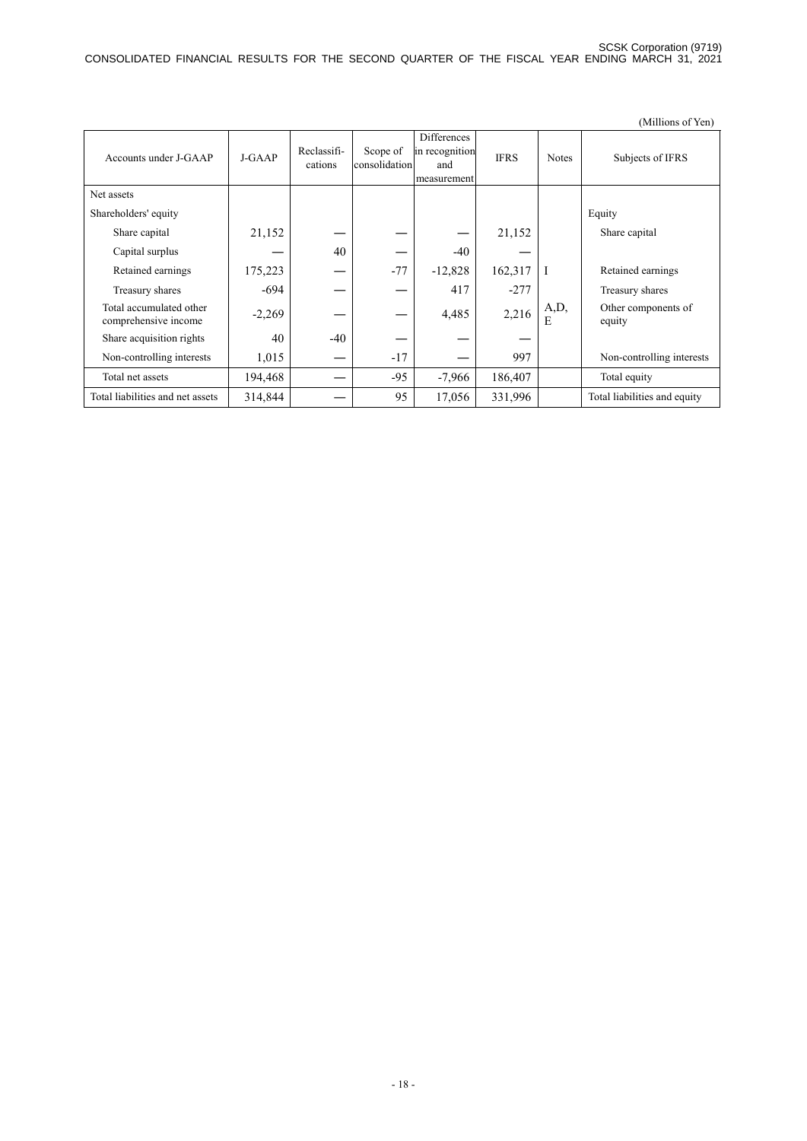|                                                 |          |                        |                           |                                                            |             |              | (Millions of Yen)             |
|-------------------------------------------------|----------|------------------------|---------------------------|------------------------------------------------------------|-------------|--------------|-------------------------------|
| Accounts under J-GAAP                           | J-GAAP   | Reclassifi-<br>cations | Scope of<br>consolidation | <b>Differences</b><br>in recognition<br>and<br>measurement | <b>IFRS</b> | <b>Notes</b> | Subjects of IFRS              |
| Net assets                                      |          |                        |                           |                                                            |             |              |                               |
| Shareholders' equity                            |          |                        |                           |                                                            |             |              | Equity                        |
| Share capital                                   | 21,152   |                        |                           |                                                            | 21,152      |              | Share capital                 |
| Capital surplus                                 |          | 40                     |                           | $-40$                                                      |             |              |                               |
| Retained earnings                               | 175,223  |                        | $-77$                     | $-12,828$                                                  | 162,317     | I            | Retained earnings             |
| Treasury shares                                 | -694     |                        |                           | 417                                                        | $-277$      |              | Treasury shares               |
| Total accumulated other<br>comprehensive income | $-2,269$ |                        |                           | 4,485                                                      | 2,216       | A,D,<br>E    | Other components of<br>equity |
| Share acquisition rights                        | 40       | $-40$                  |                           |                                                            |             |              |                               |
| Non-controlling interests                       | 1,015    |                        | $-17$                     |                                                            | 997         |              | Non-controlling interests     |
| Total net assets                                | 194,468  |                        | $-95$                     | $-7,966$                                                   | 186,407     |              | Total equity                  |
| Total liabilities and net assets                | 314,844  |                        | 95                        | 17,056                                                     | 331,996     |              | Total liabilities and equity  |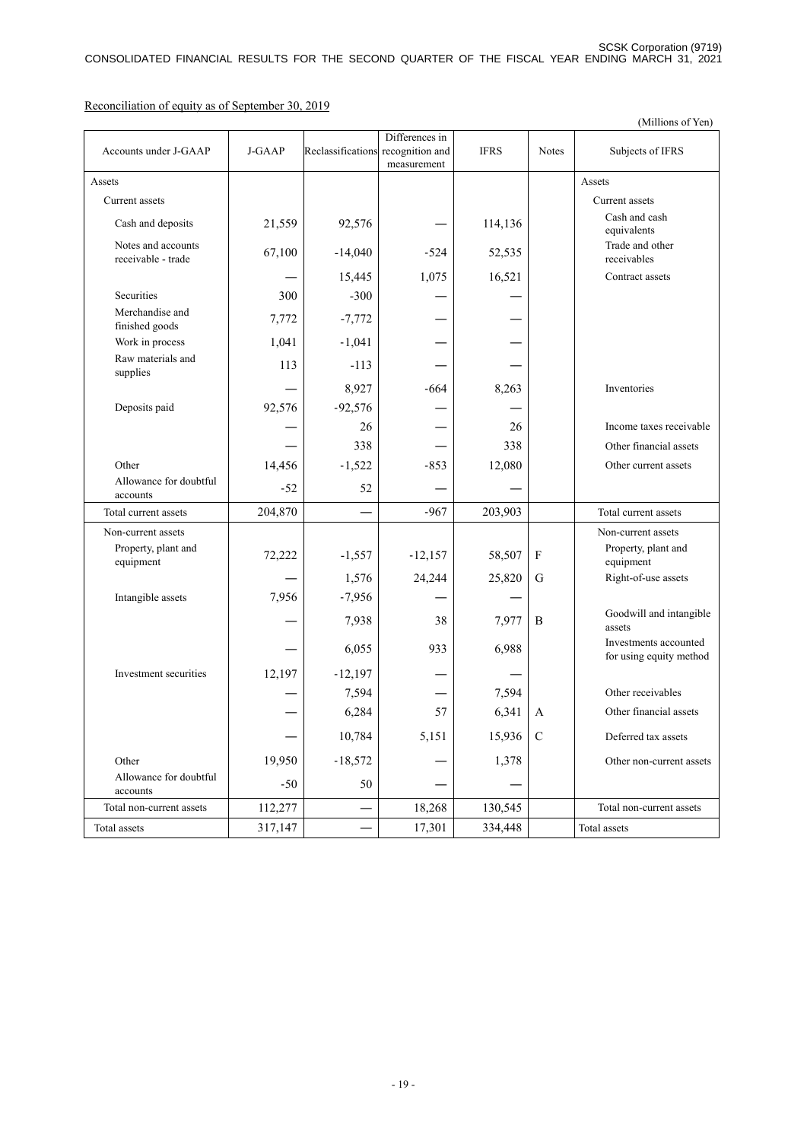(Millions of Yen) Accounts under J-GAAP J-GAAP Reclassifications Differences in recognition and measurement IFRS Notes Subjects of IFRS Assets and the contract of the contract of the contract of the contract of the contract of the contract of the contract of the contract of the contract of the contract of the contract of the contract of the contract of the Current assets **Current assets** Current assets **Current assets** Cash and deposits 21,559 92,576 — 114,136 Cash and cash equivalents Notes and accounts<br>receivable - trade Notes and accounts<br>
receivable - trade 67,100 -14,040 -524 52,535 Trade and other<br>
receivables receivables 15,445 1,075 16,521 Contract assets Securities  $300$  -300 — — — Merchandise and  $T_{\text{initial}}$   $\left.\right.7,772$   $\left.\right.7,772$   $\left.\right.7,772$ Work in process  $1,041$  -1,041 Raw materials and supplies  $\begin{vmatrix} 113 & -113 & -113 \\ -113 & -113 & -113 \\ 113 & -113 & -113 \\ 113 & -113 & -113 \end{vmatrix}$  — 8,927 -664 8,263 Inventories Deposits paid  $92,576$  -92,576 —  $26$  — 26 Income taxes receivable  $-$  338  $-$  0ther financial assets Other 14,456 -1,522 -853 12,080 Other current assets Allowance for doubtful  $\frac{20}{4}$  accounts  $\left| \frac{52}{52} \right|$   $\frac{52}{52}$   $\left| \frac{52}{52} \right|$   $\left| \frac{52}{52} \right|$   $\left| \frac{52}{52} \right|$ Total current assets  $204,870$   $-967$   $203,903$  Total current assets Non-current assets Non-current assets Non-current assets Property, plant and equipment 72,222 -1,557 -12,157 58,507 F Property, plant and equipment 1,576 24,244 25,820 G Right-of-use assets Intangible assets 7,956 -7,956  $7,938$   $38$   $7,977$  B Goodwill and intangible assets 6,055 933 6,988 Investments accounted for using equity method Investment securities  $12,197$  -12,197  $7.594$  —  $7.594$  Other receivables  $6,284$  57 6,341 A Other financial assets 10,784 5,151 15,936 C Deferred tax assets Other 19,950 -18,572 — 1,378 Other non-current assets Allowance for doubtful  $\frac{20}{4}$  accounts  $\left| \frac{50}{50} \right|$   $\frac{50}{50}$   $\left| \frac{50}{50} \right|$   $\frac{50}{50}$ Total non-current assets  $112,277$   $18,268$   $130,545$  Total non-current assets Total assets  $317,147$  —  $17,301$  334,448 Total assets

Reconciliation of equity as of September 30, 2019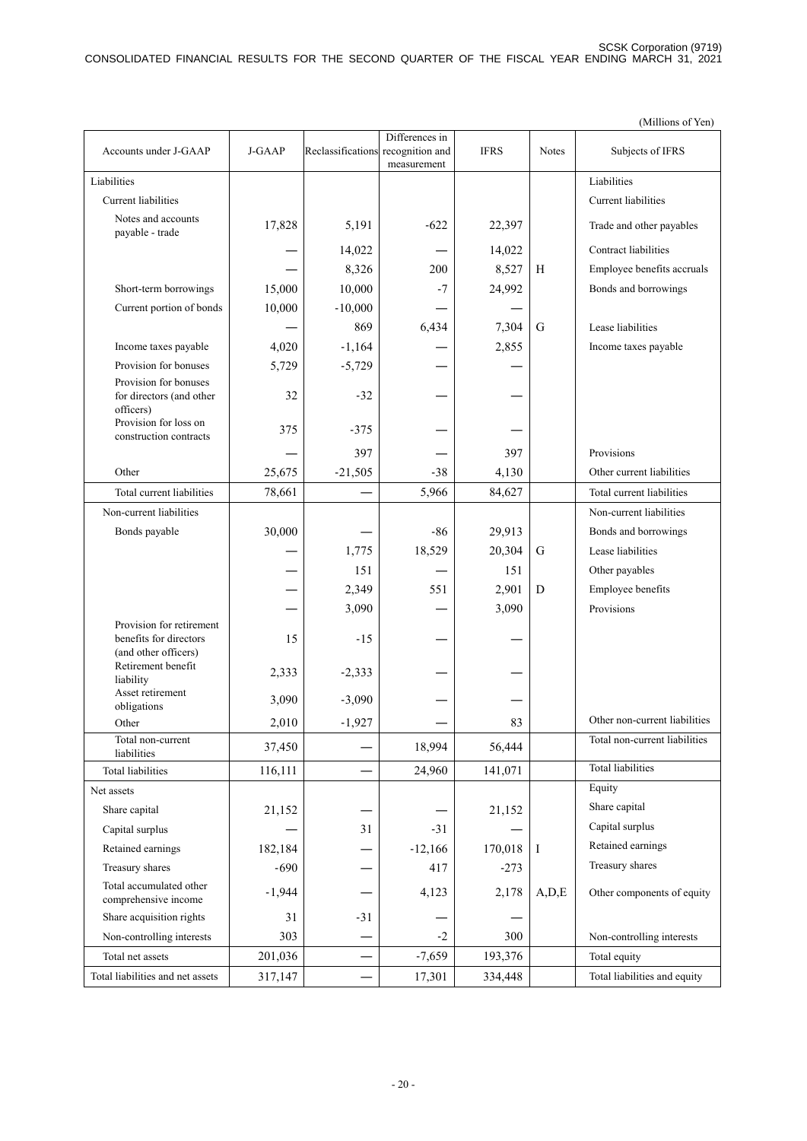|                                                                            |          |                          |                                                  |             |         | (Millions of Yen)             |
|----------------------------------------------------------------------------|----------|--------------------------|--------------------------------------------------|-------------|---------|-------------------------------|
| Accounts under J-GAAP                                                      | J-GAAP   | Reclassifications        | Differences in<br>recognition and<br>measurement | <b>IFRS</b> | Notes   | Subjects of IFRS              |
| Liabilities                                                                |          |                          |                                                  |             |         | Liabilities                   |
| <b>Current</b> liabilities                                                 |          |                          |                                                  |             |         | <b>Current</b> liabilities    |
| Notes and accounts<br>payable - trade                                      | 17,828   | 5,191                    | $-622$                                           | 22,397      |         | Trade and other payables      |
|                                                                            |          | 14,022                   |                                                  | 14,022      |         | Contract liabilities          |
|                                                                            |          | 8,326                    | 200                                              | 8,527       | H       | Employee benefits accruals    |
| Short-term borrowings                                                      | 15,000   | 10,000                   | $-7$                                             | 24,992      |         | Bonds and borrowings          |
| Current portion of bonds                                                   | 10,000   | $-10,000$                |                                                  |             |         |                               |
|                                                                            |          | 869                      | 6,434                                            | 7,304       | G       | Lease liabilities             |
| Income taxes payable                                                       | 4,020    | $-1,164$                 |                                                  | 2,855       |         | Income taxes payable          |
| Provision for bonuses                                                      | 5,729    | $-5,729$                 |                                                  |             |         |                               |
| Provision for bonuses<br>for directors (and other<br>officers)             | 32       | $-32$                    |                                                  |             |         |                               |
| Provision for loss on<br>construction contracts                            | 375      | $-375$                   |                                                  |             |         |                               |
|                                                                            |          | 397                      |                                                  | 397         |         | Provisions                    |
| Other                                                                      | 25,675   | $-21,505$                | $-38$                                            | 4,130       |         | Other current liabilities     |
| Total current liabilities                                                  | 78,661   |                          | 5,966                                            | 84,627      |         | Total current liabilities     |
| Non-current liabilities                                                    |          |                          |                                                  |             |         | Non-current liabilities       |
| Bonds payable                                                              | 30,000   |                          | $-86$                                            | 29,913      |         | Bonds and borrowings          |
|                                                                            |          | 1,775                    | 18,529                                           | 20,304      | G       | Lease liabilities             |
|                                                                            |          | 151                      |                                                  | 151         |         | Other payables                |
|                                                                            |          | 2,349                    | 551                                              | 2,901       | D       | Employee benefits             |
|                                                                            |          | 3,090                    |                                                  | 3,090       |         | Provisions                    |
| Provision for retirement<br>benefits for directors<br>(and other officers) | 15       | $-15$                    |                                                  |             |         |                               |
| Retirement benefit<br>liability                                            | 2,333    | $-2,333$                 |                                                  |             |         |                               |
| Asset retirement                                                           | 3,090    | $-3,090$                 |                                                  |             |         |                               |
| obligations<br>Other                                                       |          |                          |                                                  | 83          |         | Other non-current liabilities |
| Total non-current                                                          | 2,010    | $-1,927$                 |                                                  |             |         | Total non-current liabilities |
| liabilities                                                                | 37,450   |                          | 18,994                                           | 56,444      |         |                               |
| <b>Total liabilities</b>                                                   | 116,111  |                          | 24,960                                           | 141,071     |         | <b>Total liabilities</b>      |
| Net assets                                                                 |          |                          |                                                  |             |         | Equity                        |
| Share capital                                                              | 21,152   |                          |                                                  | 21,152      |         | Share capital                 |
| Capital surplus                                                            |          | 31                       | $-31$                                            |             |         | Capital surplus               |
| Retained earnings                                                          | 182,184  |                          | $-12,166$                                        | 170,018     | I       | Retained earnings             |
| Treasury shares                                                            | $-690$   |                          | 417                                              | $-273$      |         | Treasury shares               |
| Total accumulated other<br>comprehensive income                            | $-1,944$ |                          | 4,123                                            | 2,178       | A, D, E | Other components of equity    |
| Share acquisition rights                                                   | 31       | $-31$                    |                                                  |             |         |                               |
| Non-controlling interests                                                  | 303      |                          | $-2$                                             | 300         |         | Non-controlling interests     |
| Total net assets                                                           | 201,036  | $\overline{\phantom{0}}$ | $-7,659$                                         | 193,376     |         | Total equity                  |
| Total liabilities and net assets                                           | 317,147  |                          | 17,301                                           | 334,448     |         | Total liabilities and equity  |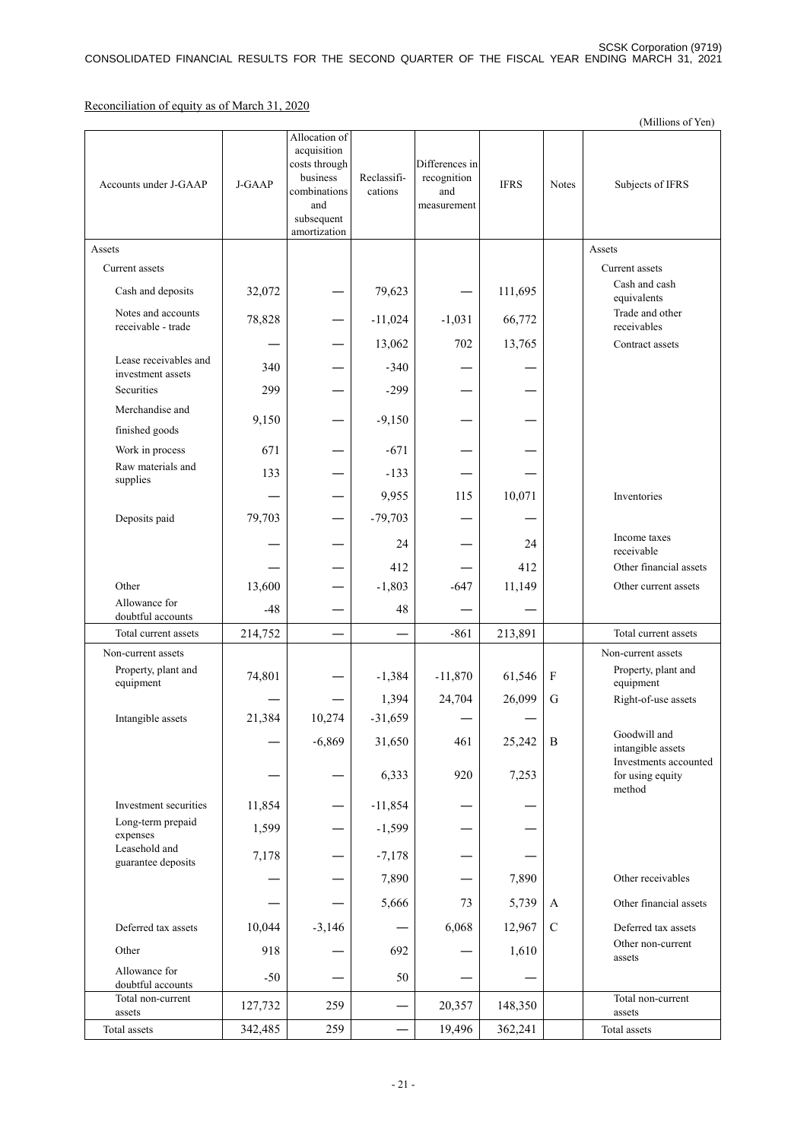Reconciliation of equity as of March 31, 2020

|                                            |         |                                                                                                                |                        |                                                     |             |               | (Millions of Yen)                                          |
|--------------------------------------------|---------|----------------------------------------------------------------------------------------------------------------|------------------------|-----------------------------------------------------|-------------|---------------|------------------------------------------------------------|
| Accounts under J-GAAP                      | J-GAAP  | Allocation of<br>acquisition<br>costs through<br>business<br>combinations<br>and<br>subsequent<br>amortization | Reclassifi-<br>cations | Differences in<br>recognition<br>and<br>measurement | <b>IFRS</b> | Notes         | Subjects of IFRS                                           |
| Assets                                     |         |                                                                                                                |                        |                                                     |             |               | Assets                                                     |
| Current assets                             |         |                                                                                                                |                        |                                                     |             |               | Current assets                                             |
| Cash and deposits                          | 32,072  |                                                                                                                | 79,623                 |                                                     | 111,695     |               | Cash and cash<br>equivalents                               |
| Notes and accounts<br>receivable - trade   | 78,828  |                                                                                                                | $-11,024$              | $-1,031$                                            | 66,772      |               | Trade and other<br>receivables                             |
|                                            |         |                                                                                                                | 13,062                 | 702                                                 | 13,765      |               | Contract assets                                            |
| Lease receivables and<br>investment assets | 340     |                                                                                                                | $-340$                 |                                                     |             |               |                                                            |
| Securities                                 | 299     |                                                                                                                | $-299$                 |                                                     |             |               |                                                            |
| Merchandise and                            | 9,150   |                                                                                                                | $-9,150$               |                                                     |             |               |                                                            |
| finished goods                             |         |                                                                                                                |                        |                                                     |             |               |                                                            |
| Work in process<br>Raw materials and       | 671     |                                                                                                                | $-671$                 |                                                     |             |               |                                                            |
| supplies                                   | 133     |                                                                                                                | $-133$                 |                                                     |             |               |                                                            |
|                                            |         |                                                                                                                | 9,955                  | 115                                                 | 10,071      |               | Inventories                                                |
| Deposits paid                              | 79,703  |                                                                                                                | $-79,703$              |                                                     |             |               | Income taxes                                               |
|                                            |         |                                                                                                                | 24                     |                                                     | 24          |               | receivable                                                 |
|                                            |         |                                                                                                                | 412                    |                                                     | 412         |               | Other financial assets                                     |
| Other                                      | 13,600  |                                                                                                                | $-1,803$               | $-647$                                              | 11,149      |               | Other current assets                                       |
| Allowance for<br>doubtful accounts         | $-48$   |                                                                                                                | 48                     |                                                     |             |               |                                                            |
| Total current assets                       | 214,752 |                                                                                                                |                        | $-861$                                              | 213,891     |               | Total current assets                                       |
| Non-current assets                         |         |                                                                                                                |                        |                                                     |             |               | Non-current assets                                         |
| Property, plant and<br>equipment           | 74,801  |                                                                                                                | $-1,384$               | $-11,870$                                           | 61,546      | ${\bf F}$     | Property, plant and<br>equipment                           |
|                                            |         |                                                                                                                | 1,394                  | 24,704                                              | 26,099      | G             | Right-of-use assets                                        |
| Intangible assets                          | 21,384  | 10,274                                                                                                         | $-31,659$              |                                                     |             |               |                                                            |
|                                            |         | $-6,869$                                                                                                       | 31,650                 | 461                                                 | 25,242      | B             | Goodwill and<br>intangible assets<br>Investments accounted |
|                                            |         |                                                                                                                | 6,333                  | 920                                                 | 7,253       |               | for using equity<br>method                                 |
| Investment securities                      | 11,854  |                                                                                                                | $-11,854$              |                                                     |             |               |                                                            |
| Long-term prepaid<br>expenses              | 1,599   |                                                                                                                | $-1,599$               |                                                     |             |               |                                                            |
| Leasehold and<br>guarantee deposits        | 7,178   |                                                                                                                | $-7,178$               |                                                     |             |               |                                                            |
|                                            |         |                                                                                                                | 7,890                  |                                                     | 7,890       |               | Other receivables                                          |
|                                            |         |                                                                                                                | 5,666                  | 73                                                  | 5,739       | A             | Other financial assets                                     |
| Deferred tax assets                        | 10,044  | $-3,146$                                                                                                       |                        | 6,068                                               | 12,967      | $\mathcal{C}$ | Deferred tax assets                                        |
| Other                                      | 918     |                                                                                                                | 692                    |                                                     | 1,610       |               | Other non-current<br>assets                                |
| Allowance for<br>doubtful accounts         | $-50$   |                                                                                                                | 50                     |                                                     |             |               |                                                            |
| Total non-current<br>assets                | 127,732 | 259                                                                                                            |                        | 20,357                                              | 148,350     |               | Total non-current<br>assets                                |
| Total assets                               | 342,485 | 259                                                                                                            |                        | 19,496                                              | 362,241     |               | Total assets                                               |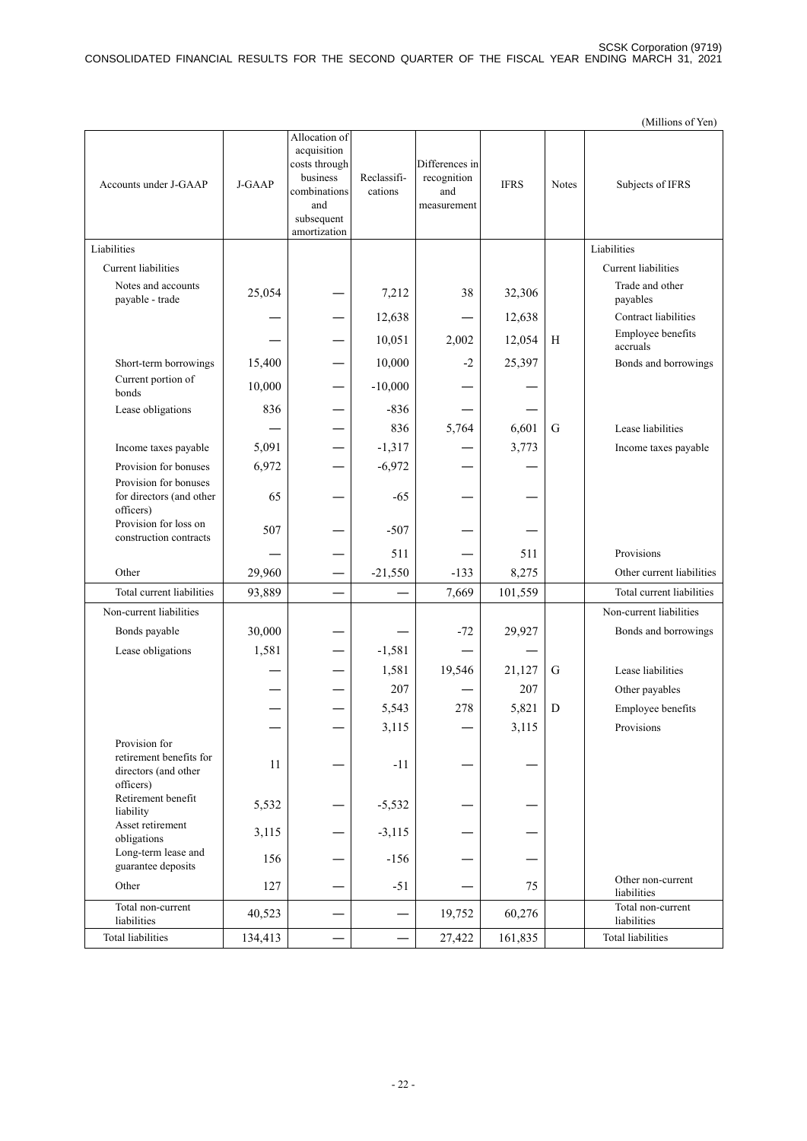|                                                                               |         |                                                                                                                |                        |                                                     |             |              | (Millions of Yen)                |
|-------------------------------------------------------------------------------|---------|----------------------------------------------------------------------------------------------------------------|------------------------|-----------------------------------------------------|-------------|--------------|----------------------------------|
| Accounts under J-GAAP                                                         | J-GAAP  | Allocation of<br>acquisition<br>costs through<br>business<br>combinations<br>and<br>subsequent<br>amortization | Reclassifi-<br>cations | Differences in<br>recognition<br>and<br>measurement | <b>IFRS</b> | <b>Notes</b> | Subjects of IFRS                 |
| Liabilities                                                                   |         |                                                                                                                |                        |                                                     |             |              | Liabilities                      |
| <b>Current</b> liabilities                                                    |         |                                                                                                                |                        |                                                     |             |              | Current liabilities              |
| Notes and accounts<br>payable - trade                                         | 25,054  |                                                                                                                | 7,212                  | 38                                                  | 32,306      |              | Trade and other<br>payables      |
|                                                                               |         |                                                                                                                | 12,638                 |                                                     | 12,638      |              | Contract liabilities             |
|                                                                               |         |                                                                                                                | 10,051                 | 2,002                                               | 12,054      | H            | Employee benefits<br>accruals    |
| Short-term borrowings                                                         | 15,400  |                                                                                                                | 10,000                 | $-2$                                                | 25,397      |              | Bonds and borrowings             |
| Current portion of<br>bonds                                                   | 10,000  |                                                                                                                | $-10,000$              |                                                     |             |              |                                  |
| Lease obligations                                                             | 836     |                                                                                                                | $-836$                 |                                                     |             |              |                                  |
|                                                                               |         |                                                                                                                | 836                    | 5,764                                               | 6,601       | G            | Lease liabilities                |
| Income taxes payable                                                          | 5,091   |                                                                                                                | $-1,317$               |                                                     | 3,773       |              | Income taxes payable             |
| Provision for bonuses                                                         | 6,972   |                                                                                                                | $-6,972$               |                                                     |             |              |                                  |
| Provision for bonuses<br>for directors (and other<br>officers)                | 65      |                                                                                                                | $-65$                  |                                                     |             |              |                                  |
| Provision for loss on<br>construction contracts                               | 507     |                                                                                                                | $-507$                 |                                                     |             |              |                                  |
|                                                                               |         |                                                                                                                | 511                    |                                                     | 511         |              | Provisions                       |
| Other                                                                         | 29,960  |                                                                                                                | $-21,550$              | $-133$                                              | 8,275       |              | Other current liabilities        |
| Total current liabilities                                                     | 93,889  |                                                                                                                |                        | 7,669                                               | 101,559     |              | Total current liabilities        |
| Non-current liabilities                                                       |         |                                                                                                                |                        |                                                     |             |              | Non-current liabilities          |
| Bonds payable                                                                 | 30,000  |                                                                                                                |                        | $-72$                                               | 29,927      |              | Bonds and borrowings             |
| Lease obligations                                                             | 1,581   |                                                                                                                | $-1,581$               |                                                     |             |              |                                  |
|                                                                               |         |                                                                                                                | 1,581                  | 19,546                                              | 21,127      | G            | Lease liabilities                |
|                                                                               |         |                                                                                                                | 207                    |                                                     | 207         |              | Other payables                   |
|                                                                               |         |                                                                                                                | 5,543                  | 278                                                 | 5,821       | D            | Employee benefits                |
|                                                                               |         |                                                                                                                | 3,115                  |                                                     | 3,115       |              | Provisions                       |
| Provision for<br>retirement benefits for<br>directors (and other<br>officers) | 11      |                                                                                                                | $-11$                  |                                                     |             |              |                                  |
| Retirement benefit<br>liability                                               | 5,532   |                                                                                                                | $-5,532$               |                                                     |             |              |                                  |
| Asset retirement<br>obligations                                               | 3,115   |                                                                                                                | $-3,115$               |                                                     |             |              |                                  |
| Long-term lease and<br>guarantee deposits                                     | 156     |                                                                                                                | $-156$                 |                                                     |             |              |                                  |
| Other                                                                         | 127     |                                                                                                                | $-51$                  |                                                     | 75          |              | Other non-current<br>liabilities |
| Total non-current<br>liabilities                                              | 40,523  |                                                                                                                |                        | 19,752                                              | 60,276      |              | Total non-current<br>liabilities |
| <b>Total liabilities</b>                                                      | 134,413 |                                                                                                                |                        | 27,422                                              | 161,835     |              | Total liabilities                |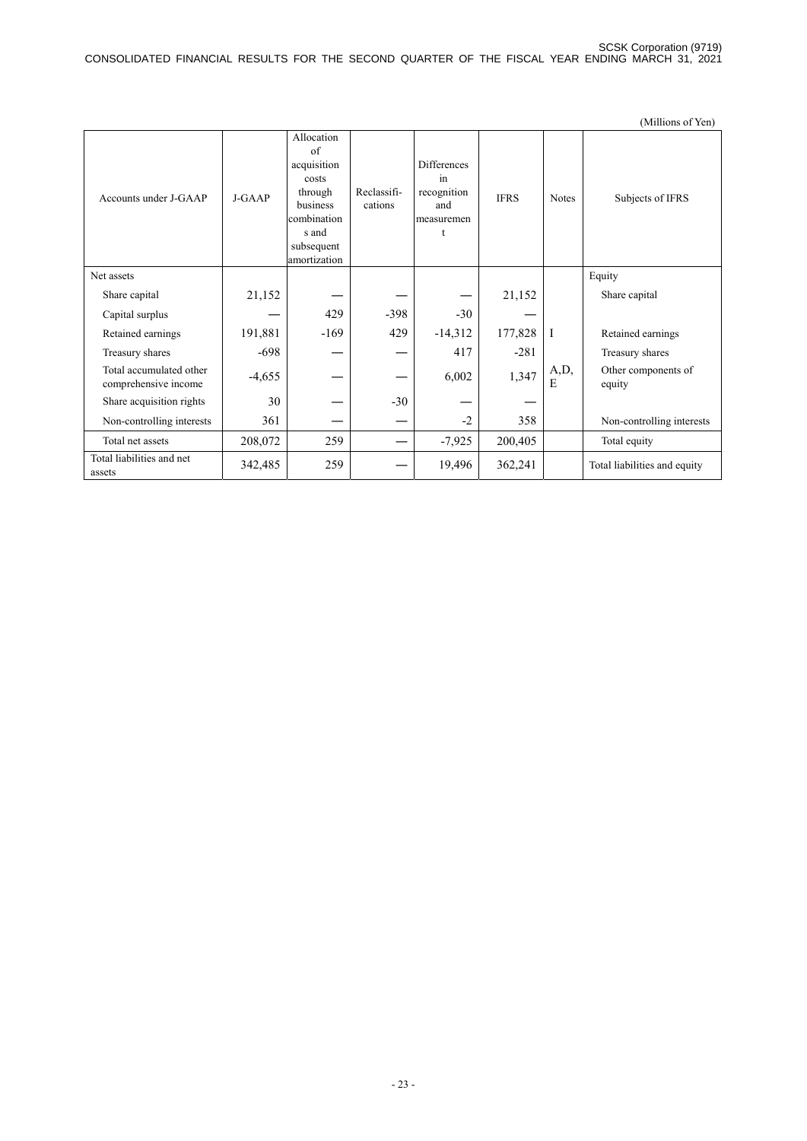|                                                 |          |                                                                                                                       |                        |                                                            |             |              | (Millions of Yen)             |
|-------------------------------------------------|----------|-----------------------------------------------------------------------------------------------------------------------|------------------------|------------------------------------------------------------|-------------|--------------|-------------------------------|
| Accounts under J-GAAP                           | $J-GAAP$ | Allocation<br>of<br>acquisition<br>costs<br>through<br>business<br>combination<br>s and<br>subsequent<br>amortization | Reclassifi-<br>cations | Differences<br>in<br>recognition<br>and<br>measuremen<br>t | <b>IFRS</b> | <b>Notes</b> | Subjects of IFRS              |
| Net assets                                      |          |                                                                                                                       |                        |                                                            |             |              | Equity                        |
| Share capital                                   | 21,152   |                                                                                                                       |                        |                                                            | 21,152      |              | Share capital                 |
| Capital surplus                                 |          | 429                                                                                                                   | $-398$                 | $-30$                                                      |             |              |                               |
| Retained earnings                               | 191,881  | $-169$                                                                                                                | 429                    | $-14,312$                                                  | 177,828     | $\vert$ I    | Retained earnings             |
| Treasury shares                                 | $-698$   |                                                                                                                       |                        | 417                                                        | $-281$      |              | Treasury shares               |
| Total accumulated other<br>comprehensive income | $-4,655$ |                                                                                                                       |                        | 6,002                                                      | 1,347       | A,D,<br>E    | Other components of<br>equity |
| Share acquisition rights                        | 30       |                                                                                                                       | $-30$                  |                                                            |             |              |                               |
| Non-controlling interests                       | 361      |                                                                                                                       |                        | $-2$                                                       | 358         |              | Non-controlling interests     |
| Total net assets                                | 208,072  | 259                                                                                                                   |                        | $-7,925$                                                   | 200,405     |              | Total equity                  |
| Total liabilities and net<br>assets             | 342,485  | 259                                                                                                                   |                        | 19,496                                                     | 362,241     |              | Total liabilities and equity  |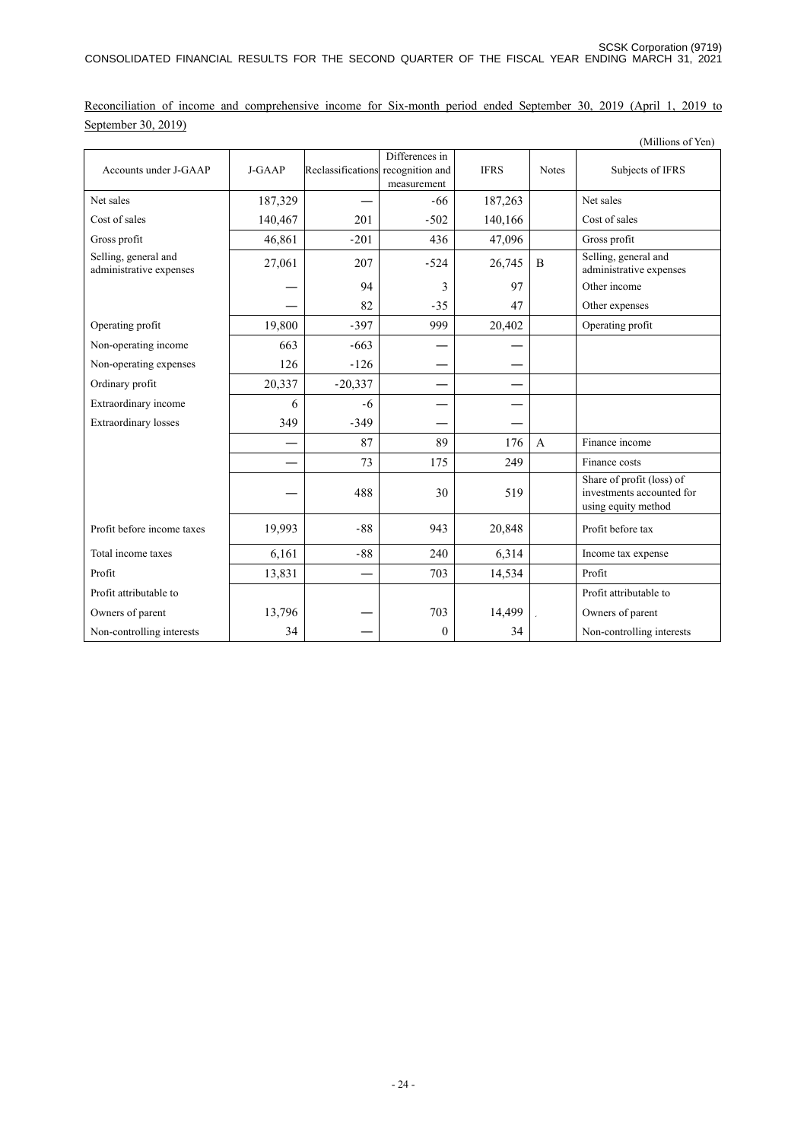Reconciliation of income and comprehensive income for Six-month period ended September 30, 2019 (April 1, 2019 to September 30, 2019)

|                                                 |          |                                   |                               |             |              | (Millions of Yen)                                                             |
|-------------------------------------------------|----------|-----------------------------------|-------------------------------|-------------|--------------|-------------------------------------------------------------------------------|
| Accounts under J-GAAP                           | $J-GAAP$ | Reclassifications recognition and | Differences in<br>measurement | <b>IFRS</b> | <b>Notes</b> | Subjects of IFRS                                                              |
| Net sales                                       | 187,329  |                                   | -66                           | 187,263     |              | Net sales                                                                     |
| Cost of sales                                   | 140,467  | 201                               | $-502$                        | 140,166     |              | Cost of sales                                                                 |
| Gross profit                                    | 46,861   | $-201$                            | 436                           | 47,096      |              | Gross profit                                                                  |
| Selling, general and<br>administrative expenses | 27,061   | 207                               | $-524$                        | 26,745      | B            | Selling, general and<br>administrative expenses                               |
|                                                 |          | 94                                | 3                             | 97          |              | Other income                                                                  |
|                                                 |          | 82                                | $-35$                         | 47          |              | Other expenses                                                                |
| Operating profit                                | 19,800   | $-397$                            | 999                           | 20,402      |              | Operating profit                                                              |
| Non-operating income                            | 663      | $-663$                            |                               |             |              |                                                                               |
| Non-operating expenses                          | 126      | $-126$                            |                               |             |              |                                                                               |
| Ordinary profit                                 | 20,337   | $-20,337$                         |                               |             |              |                                                                               |
| Extraordinary income                            | 6        | $-6$                              |                               |             |              |                                                                               |
| <b>Extraordinary losses</b>                     | 349      | $-349$                            |                               |             |              |                                                                               |
|                                                 |          | 87                                | 89                            | 176         | $\mathbf{A}$ | Finance income                                                                |
|                                                 |          | 73                                | 175                           | 249         |              | Finance costs                                                                 |
|                                                 |          | 488                               | 30                            | 519         |              | Share of profit (loss) of<br>investments accounted for<br>using equity method |
| Profit before income taxes                      | 19,993   | $-88$                             | 943                           | 20,848      |              | Profit before tax                                                             |
| Total income taxes                              | 6,161    | $-88$                             | 240                           | 6,314       |              | Income tax expense                                                            |
| Profit                                          | 13,831   |                                   | 703                           | 14,534      |              | Profit                                                                        |
| Profit attributable to                          |          |                                   |                               |             |              | Profit attributable to                                                        |
| Owners of parent                                | 13,796   |                                   | 703                           | 14,499      |              | Owners of parent                                                              |
| Non-controlling interests                       | 34       |                                   | $\boldsymbol{0}$              | 34          |              | Non-controlling interests                                                     |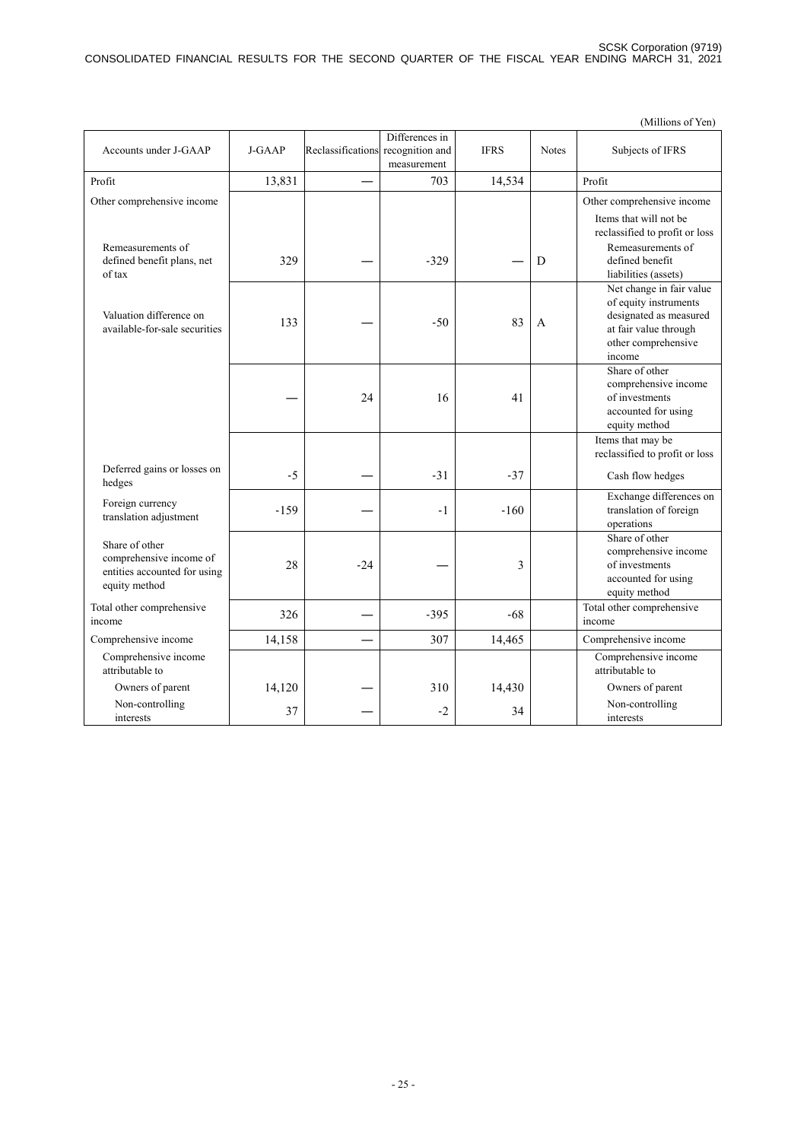|                                                                                            |        |                   |                                   |             |              | (Millions of Yen)                                                                                                                     |
|--------------------------------------------------------------------------------------------|--------|-------------------|-----------------------------------|-------------|--------------|---------------------------------------------------------------------------------------------------------------------------------------|
| Accounts under J-GAAP                                                                      | J-GAAP | Reclassifications | Differences in<br>recognition and | <b>IFRS</b> | <b>Notes</b> | Subjects of IFRS                                                                                                                      |
|                                                                                            |        |                   | measurement                       |             |              |                                                                                                                                       |
| Profit                                                                                     | 13,831 |                   | 703                               | 14,534      |              | Profit                                                                                                                                |
| Other comprehensive income                                                                 |        |                   |                                   |             |              | Other comprehensive income                                                                                                            |
| Remeasurements of<br>defined benefit plans, net<br>of tax                                  | 329    |                   | $-329$                            |             | D            | Items that will not be<br>reclassified to profit or loss<br>Remeasurements of<br>defined benefit<br>liabilities (assets)              |
| Valuation difference on<br>available-for-sale securities                                   | 133    |                   | $-50$                             | 83          | A            | Net change in fair value<br>of equity instruments<br>designated as measured<br>at fair value through<br>other comprehensive<br>income |
|                                                                                            |        | 24                | 16                                | 41          |              | Share of other<br>comprehensive income<br>of investments<br>accounted for using<br>equity method                                      |
|                                                                                            |        |                   |                                   |             |              | Items that may be                                                                                                                     |
| Deferred gains or losses on<br>hedges                                                      | $-5$   |                   | $-31$                             | $-37$       |              | reclassified to profit or loss<br>Cash flow hedges                                                                                    |
| Foreign currency<br>translation adjustment                                                 | $-159$ |                   | $-1$                              | $-160$      |              | Exchange differences on<br>translation of foreign<br>operations                                                                       |
| Share of other<br>comprehensive income of<br>entities accounted for using<br>equity method | 28     | $-24$             |                                   | 3           |              | Share of other<br>comprehensive income<br>of investments<br>accounted for using<br>equity method                                      |
| Total other comprehensive<br>income                                                        | 326    |                   | $-395$                            | $-68$       |              | Total other comprehensive<br>income                                                                                                   |
| Comprehensive income                                                                       | 14,158 |                   | 307                               | 14,465      |              | Comprehensive income                                                                                                                  |
| Comprehensive income<br>attributable to                                                    |        |                   |                                   |             |              | Comprehensive income<br>attributable to                                                                                               |
| Owners of parent                                                                           | 14,120 |                   | 310                               | 14,430      |              | Owners of parent                                                                                                                      |
| Non-controlling<br>interests                                                               | 37     |                   | $-2$                              | 34          |              | Non-controlling<br>interests                                                                                                          |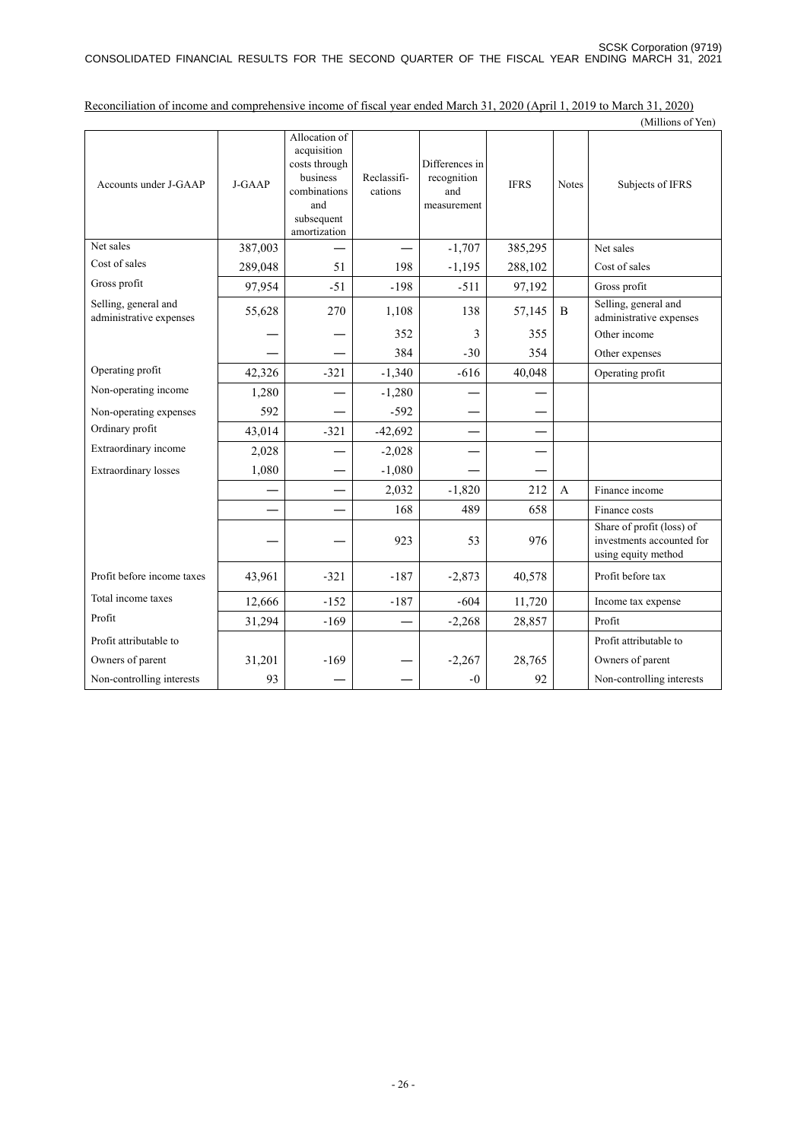|                                                 |         |                                                                                                                |                        |                                                     |             |              | (Millions of Yen)                                                             |
|-------------------------------------------------|---------|----------------------------------------------------------------------------------------------------------------|------------------------|-----------------------------------------------------|-------------|--------------|-------------------------------------------------------------------------------|
| Accounts under J-GAAP                           | J-GAAP  | Allocation of<br>acquisition<br>costs through<br>business<br>combinations<br>and<br>subsequent<br>amortization | Reclassifi-<br>cations | Differences in<br>recognition<br>and<br>measurement | <b>IFRS</b> | <b>Notes</b> | Subjects of IFRS                                                              |
| Net sales                                       | 387,003 |                                                                                                                |                        | $-1,707$                                            | 385,295     |              | Net sales                                                                     |
| Cost of sales                                   | 289,048 | 51                                                                                                             | 198                    | $-1,195$                                            | 288,102     |              | Cost of sales                                                                 |
| Gross profit                                    | 97,954  | $-51$                                                                                                          | $-198$                 | $-511$                                              | 97,192      |              | Gross profit                                                                  |
| Selling, general and<br>administrative expenses | 55,628  | 270                                                                                                            | 1,108                  | 138                                                 | 57,145      | B            | Selling, general and<br>administrative expenses                               |
|                                                 |         |                                                                                                                | 352                    | 3                                                   | 355         |              | Other income                                                                  |
|                                                 |         |                                                                                                                | 384                    | $-30$                                               | 354         |              | Other expenses                                                                |
| Operating profit                                | 42,326  | $-321$                                                                                                         | $-1,340$               | $-616$                                              | 40,048      |              | Operating profit                                                              |
| Non-operating income                            | 1,280   |                                                                                                                | $-1,280$               |                                                     |             |              |                                                                               |
| Non-operating expenses                          | 592     |                                                                                                                | $-592$                 |                                                     |             |              |                                                                               |
| Ordinary profit                                 | 43,014  | $-321$                                                                                                         | $-42,692$              |                                                     |             |              |                                                                               |
| Extraordinary income                            | 2,028   |                                                                                                                | $-2,028$               |                                                     |             |              |                                                                               |
| <b>Extraordinary losses</b>                     | 1,080   |                                                                                                                | $-1,080$               |                                                     |             |              |                                                                               |
|                                                 |         |                                                                                                                | 2,032                  | $-1,820$                                            | 212         | A            | Finance income                                                                |
|                                                 |         |                                                                                                                | 168                    | 489                                                 | 658         |              | Finance costs                                                                 |
|                                                 |         |                                                                                                                | 923                    | 53                                                  | 976         |              | Share of profit (loss) of<br>investments accounted for<br>using equity method |
| Profit before income taxes                      | 43,961  | $-321$                                                                                                         | $-187$                 | $-2,873$                                            | 40,578      |              | Profit before tax                                                             |
| Total income taxes                              | 12,666  | $-152$                                                                                                         | $-187$                 | $-604$                                              | 11,720      |              | Income tax expense                                                            |
| Profit                                          | 31,294  | $-169$                                                                                                         |                        | $-2,268$                                            | 28,857      |              | Profit                                                                        |
| Profit attributable to                          |         |                                                                                                                |                        |                                                     |             |              | Profit attributable to                                                        |
| Owners of parent                                | 31,201  | $-169$                                                                                                         |                        | $-2,267$                                            | 28,765      |              | Owners of parent                                                              |
| Non-controlling interests                       | 93      |                                                                                                                |                        | $-0$                                                | 92          |              | Non-controlling interests                                                     |

Reconciliation of income and comprehensive income of fiscal year ended March 31, 2020 (April 1, 2019 to March 31, 2020)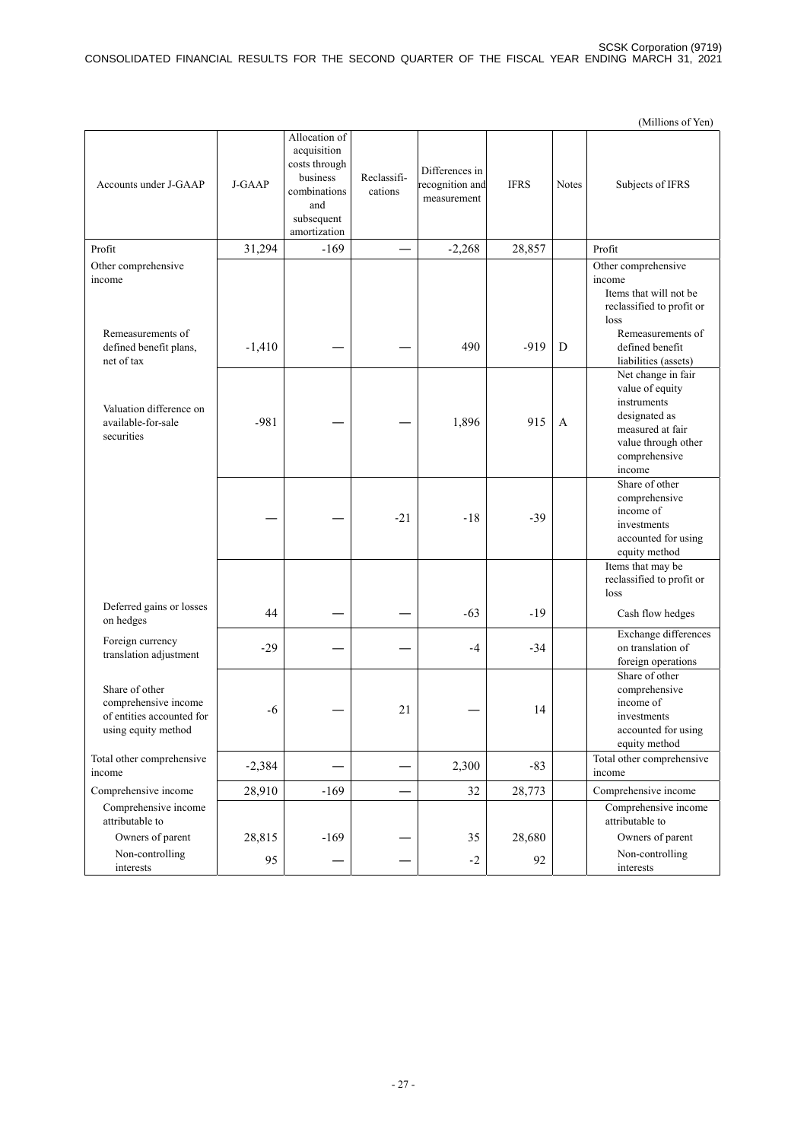(Millions of Yen) Accounts under J-GAAP J-GAAP Allocation of acquisition costs through business combinations and subsequent amortization Reclassifications Differences in recognition and measurement IFRS Notes Subjects of IFRS Profit 169 -169 – 2,268 28,857 Profit Other comprehensive Other comprehensive come of the comprehensive come of the comprehensive come of the comprehensive come of the come of the come of the come of the come of the come of the come of the come of the come of the come of the come income Items that will not be reclassified to profit or loss Remeasurements of defined benefit plans, net of tax  $-1,410$  – – – 490 – 919 D Remeasurements of defined benefit liabilities (assets) Valuation difference on available-for-sale securities  $-981$  –  $-1$  1,896 915 A Net change in fair value of equity instruments designated as measured at fair value through other comprehensive income —  $-21$   $-18$   $-39$ Share of other comprehensive income of investments accounted for using equity method Items that may be reclassified to profit or loss Deferred gains or losses  $\left[\begin{array}{ccc} 44 & - & - & -63 & -19 \\ 0 \text{n} & - & - & -1 \end{array}\right]$  Cash flow hedges Foreign currency Foreign currency<br>translation adjustment  $-29$   $-4$   $-34$ Exchange differences on translation of foreign operations Share of other comprehensive income of entities accounted for using equity method  $-6$  – 21 – 14 Share of other comprehensive income of investments accounted for using equity method Total other comprehensive Total other comprehensive  $-2,384$   $2,300$   $-83$   $\phantom{0}$  Total other comprehensive income income Comprehensive income  $\begin{vmatrix} 28,910 & -169 \end{vmatrix}$   $-169$   $-32$   $32$   $28,773$  Comprehensive income Comprehensive income Comprehensive income<br>attributable to attributable to attributable to attributable to attributable to attributable to Owners of parent 28,815 -169 -169 -169 35 28,680 Owners of parent Non-controlling interests 95 ― ― -2 92 Non-controlling interests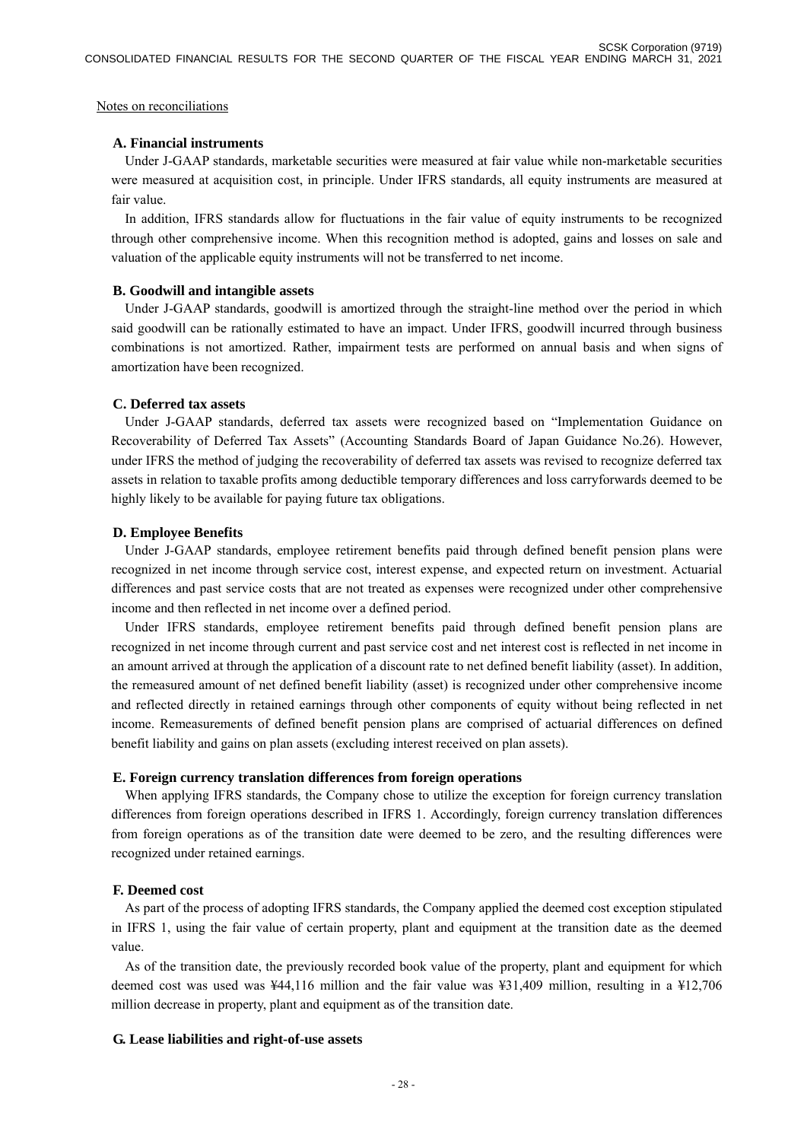#### Notes on reconciliations

#### **A. Financial instruments**

Under J-GAAP standards, marketable securities were measured at fair value while non-marketable securities were measured at acquisition cost, in principle. Under IFRS standards, all equity instruments are measured at fair value.

In addition, IFRS standards allow for fluctuations in the fair value of equity instruments to be recognized through other comprehensive income. When this recognition method is adopted, gains and losses on sale and valuation of the applicable equity instruments will not be transferred to net income.

#### **B. Goodwill and intangible assets**

Under J-GAAP standards, goodwill is amortized through the straight-line method over the period in which said goodwill can be rationally estimated to have an impact. Under IFRS, goodwill incurred through business combinations is not amortized. Rather, impairment tests are performed on annual basis and when signs of amortization have been recognized.

#### **C. Deferred tax assets**

Under J-GAAP standards, deferred tax assets were recognized based on "Implementation Guidance on Recoverability of Deferred Tax Assets" (Accounting Standards Board of Japan Guidance No.26). However, under IFRS the method of judging the recoverability of deferred tax assets was revised to recognize deferred tax assets in relation to taxable profits among deductible temporary differences and loss carryforwards deemed to be highly likely to be available for paying future tax obligations.

#### **D. Employee Benefits**

Under J-GAAP standards, employee retirement benefits paid through defined benefit pension plans were recognized in net income through service cost, interest expense, and expected return on investment. Actuarial differences and past service costs that are not treated as expenses were recognized under other comprehensive income and then reflected in net income over a defined period.

Under IFRS standards, employee retirement benefits paid through defined benefit pension plans are recognized in net income through current and past service cost and net interest cost is reflected in net income in an amount arrived at through the application of a discount rate to net defined benefit liability (asset). In addition, the remeasured amount of net defined benefit liability (asset) is recognized under other comprehensive income and reflected directly in retained earnings through other components of equity without being reflected in net income. Remeasurements of defined benefit pension plans are comprised of actuarial differences on defined benefit liability and gains on plan assets (excluding interest received on plan assets).

#### **E. Foreign currency translation differences from foreign operations**

When applying IFRS standards, the Company chose to utilize the exception for foreign currency translation differences from foreign operations described in IFRS 1. Accordingly, foreign currency translation differences from foreign operations as of the transition date were deemed to be zero, and the resulting differences were recognized under retained earnings.

#### **F. Deemed cost**

As part of the process of adopting IFRS standards, the Company applied the deemed cost exception stipulated in IFRS 1, using the fair value of certain property, plant and equipment at the transition date as the deemed value.

As of the transition date, the previously recorded book value of the property, plant and equipment for which deemed cost was used was ¥44,116 million and the fair value was ¥31,409 million, resulting in a ¥12,706 million decrease in property, plant and equipment as of the transition date.

#### **G. Lease liabilities and right-of-use assets**